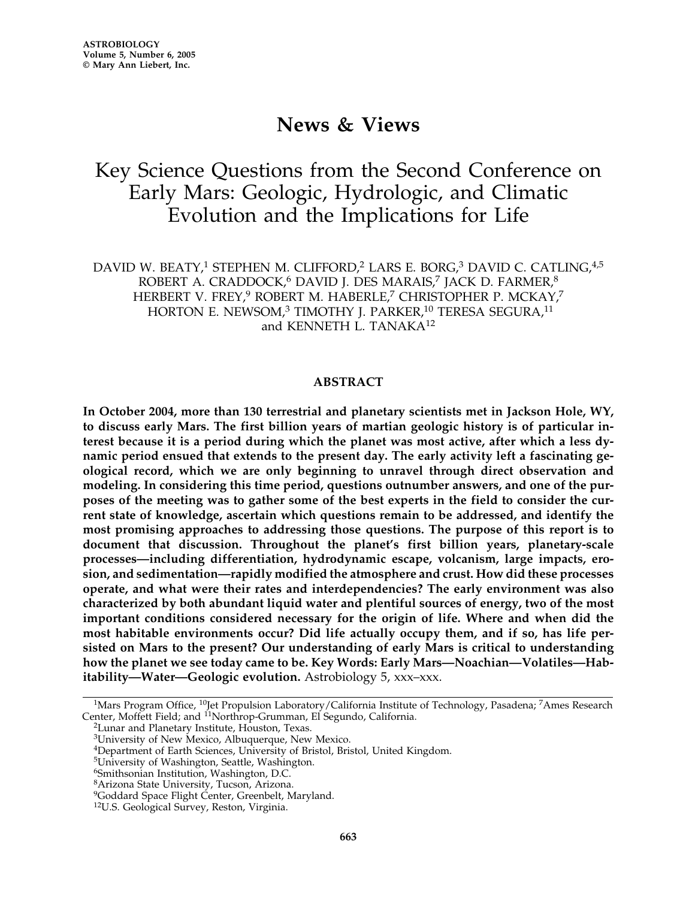## **News & Views**

# Key Science Questions from the Second Conference on Early Mars: Geologic, Hydrologic, and Climatic Evolution and the Implications for Life

DAVID W. BEATY,<sup>1</sup> STEPHEN M. CLIFFORD,<sup>2</sup> LARS E. BORG,<sup>3</sup> DAVID C. CATLING,<sup>4,5</sup> ROBERT A. CRADDOCK,<sup>6</sup> DAVID J. DES MARAIS,<sup>7</sup> JACK D. FARMER,<sup>8</sup> HERBERT V. FREY,<sup>9</sup> ROBERT M. HABERLE,<sup>7</sup> CHRISTOPHER P. MCKAY,<sup>7</sup> HORTON E. NEWSOM,<sup>3</sup> TIMOTHY J. PARKER,<sup>10</sup> TERESA SEGURA,<sup>11</sup> and KENNETH L. TANAKA<sup>12</sup>

## **ABSTRACT**

**In October 2004, more than 130 terrestrial and planetary scientists met in Jackson Hole, WY, to discuss early Mars. The first billion years of martian geologic history is of particular interest because it is a period during which the planet was most active, after which a less dynamic period ensued that extends to the present day. The early activity left a fascinating geological record, which we are only beginning to unravel through direct observation and modeling. In considering this time period, questions outnumber answers, and one of the purposes of the meeting was to gather some of the best experts in the field to consider the current state of knowledge, ascertain which questions remain to be addressed, and identify the most promising approaches to addressing those questions. The purpose of this report is to document that discussion. Throughout the planet's first billion years, planetary-scale processes—including differentiation, hydrodynamic escape, volcanism, large impacts, erosion, and sedimentation—rapidly modified the atmosphere and crust. How did these processes operate, and what were their rates and interdependencies? The early environment was also characterized by both abundant liquid water and plentiful sources of energy, two of the most important conditions considered necessary for the origin of life. Where and when did the most habitable environments occur? Did life actually occupy them, and if so, has life persisted on Mars to the present? Our understanding of early Mars is critical to understanding how the planet we see today came to be. Key Words: Early Mars—Noachian—Volatiles—Habitability—Water—Geologic evolution.** Astrobiology 5, xxx–xxx.

<sup>&</sup>lt;sup>1</sup>Mars Program Office, <sup>10</sup>Jet Propulsion Laboratory/California Institute of Technology, Pasadena; <sup>7</sup>Ames Research Center, Moffett Field; and 11Northrop-Grumman, El Segundo, California. 2Lunar and Planetary Institute, Houston, Texas.

<sup>3</sup>University of New Mexico, Albuquerque, New Mexico.

<sup>4</sup>Department of Earth Sciences, University of Bristol, Bristol, United Kingdom.

<sup>5</sup>University of Washington, Seattle, Washington.

<sup>6</sup>Smithsonian Institution, Washington, D.C.

<sup>8</sup>Arizona State University, Tucson, Arizona.

<sup>&</sup>lt;sup>9</sup>Goddard Space Flight Center, Greenbelt, Maryland.

<sup>12</sup>U.S. Geological Survey, Reston, Virginia.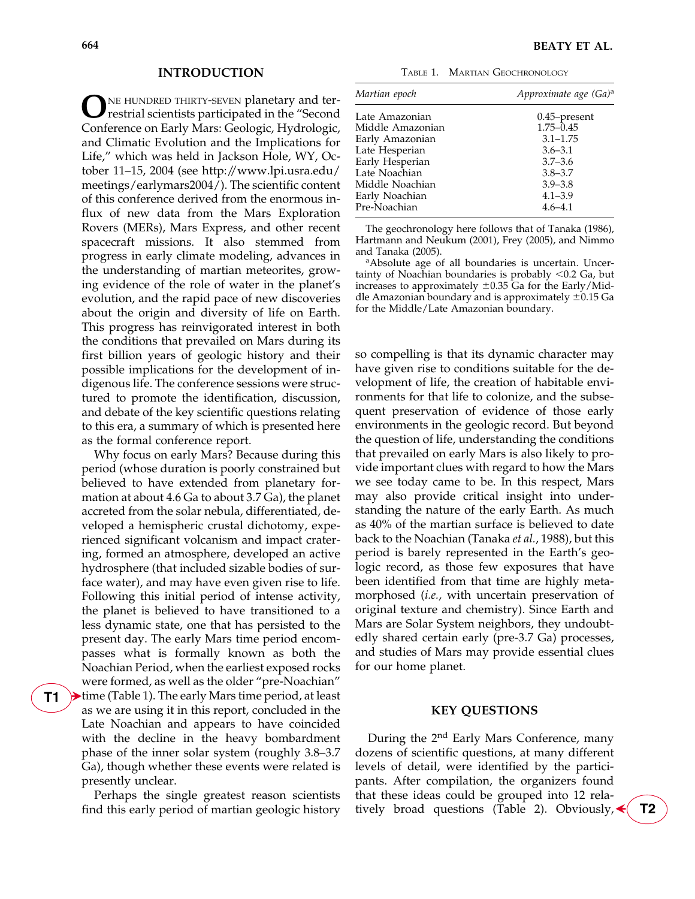#### **INTRODUCTION**

ONE HUNDRED THIRTY-SEVEN planetary and ter-<br>
restrial scientists participated in the "Second" Conference on Early Mars: Geologic, Hydrologic, and Climatic Evolution and the Implications for Life," which was held in Jackson Hole, WY, October 11–15, 2004 (see http://www.lpi.usra.edu/ meetings/earlymars2004/). The scientific content of this conference derived from the enormous influx of new data from the Mars Exploration Rovers (MERs), Mars Express, and other recent spacecraft missions. It also stemmed from progress in early climate modeling, advances in the understanding of martian meteorites, growing evidence of the role of water in the planet's evolution, and the rapid pace of new discoveries about the origin and diversity of life on Earth. This progress has reinvigorated interest in both the conditions that prevailed on Mars during its first billion years of geologic history and their possible implications for the development of indigenous life. The conference sessions were structured to promote the identification, discussion, and debate of the key scientific questions relating to this era, a summary of which is presented here as the formal conference report.

Why focus on early Mars? Because during this period (whose duration is poorly constrained but believed to have extended from planetary formation at about 4.6 Ga to about 3.7 Ga), the planet accreted from the solar nebula, differentiated, developed a hemispheric crustal dichotomy, experienced significant volcanism and impact cratering, formed an atmosphere, developed an active hydrosphere (that included sizable bodies of surface water), and may have even given rise to life. Following this initial period of intense activity, the planet is believed to have transitioned to a less dynamic state, one that has persisted to the present day. The early Mars time period encompasses what is formally known as both the Noachian Period, when the earliest exposed rocks were formed, as well as the older "pre-Noachian" time (Table 1). The early Mars time period, at least as we are using it in this report, concluded in the Late Noachian and appears to have coincided with the decline in the heavy bombardment phase of the inner solar system (roughly 3.8–3.7 Ga), though whether these events were related is presently unclear.

Perhaps the single greatest reason scientists find this early period of martian geologic history

TABLE 1. MARTIAN GEOCHRONOLOGY

| Martian epoch    | Approximate age (Ga) <sup>a</sup> |
|------------------|-----------------------------------|
| Late Amazonian   | $0.45$ -present                   |
| Middle Amazonian | $1.75 - 0.45$                     |
| Early Amazonian  | $3.1 - 1.75$                      |
| Late Hesperian   | $3.6 - 3.1$                       |
| Early Hesperian  | $3.7 - 3.6$                       |
| Late Noachian    | $3.8 - 3.7$                       |
| Middle Noachian  | $3.9 - 3.8$                       |
| Early Noachian   | $4.1 - 3.9$                       |
| Pre-Noachian     | $4.6 - 4.1$                       |

The geochronology here follows that of Tanaka (1986), Hartmann and Neukum (2001), Frey (2005), and Nimmo

and Tanaka (2005).<br><sup>a</sup>Absolute age of all boundaries is uncertain. Uncertainty of Noachian boundaries is probably <0.2 Ga, but increases to approximately  $\pm 0.35$  Ga for the Early/Middle Amazonian boundary and is approximately  $\pm 0.15$  Ga for the Middle/Late Amazonian boundary.

so compelling is that its dynamic character may have given rise to conditions suitable for the development of life, the creation of habitable environments for that life to colonize, and the subsequent preservation of evidence of those early environments in the geologic record. But beyond the question of life, understanding the conditions that prevailed on early Mars is also likely to provide important clues with regard to how the Mars we see today came to be. In this respect, Mars may also provide critical insight into understanding the nature of the early Earth. As much as 40% of the martian surface is believed to date back to the Noachian (Tanaka *et al.*, 1988), but this period is barely represented in the Earth's geologic record, as those few exposures that have been identified from that time are highly metamorphosed (*i.e.*, with uncertain preservation of original texture and chemistry). Since Earth and Mars are Solar System neighbors, they undoubtedly shared certain early (pre-3.7 Ga) processes, and studies of Mars may provide essential clues for our home planet.

#### **KEY QUESTIONS**

During the 2<sup>nd</sup> Early Mars Conference, many dozens of scientific questions, at many different levels of detail, were identified by the participants. After compilation, the organizers found that these ideas could be grouped into 12 relatively broad questions (Table 2). Obviously, -

**T2**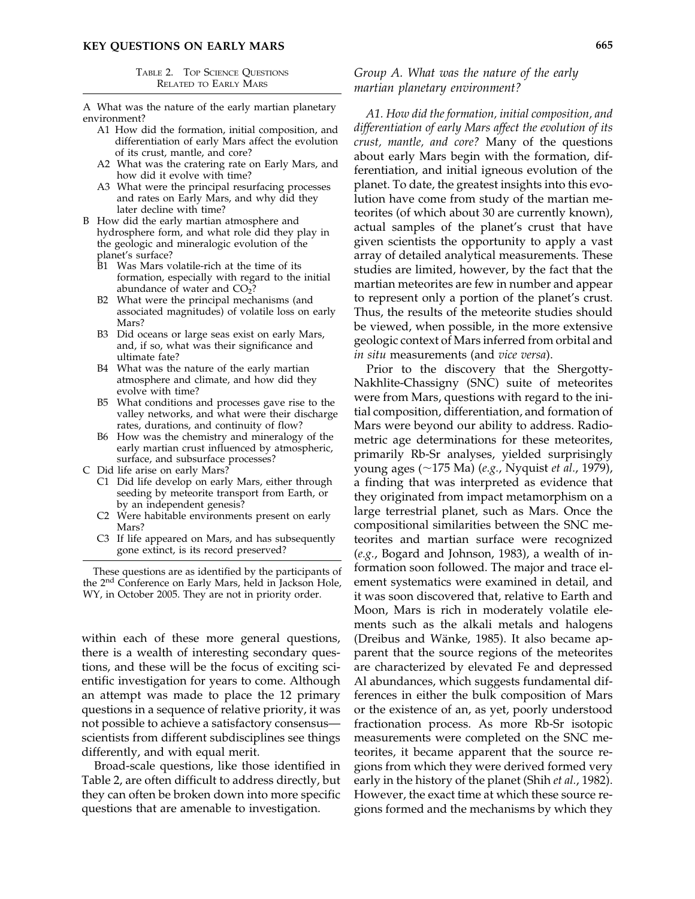TABLE 2. TOP SCIENCE QUESTIONS RELATED TO EARLY MARS

A What was the nature of the early martian planetary environment?

- A1 How did the formation, initial composition, and differentiation of early Mars affect the evolution of its crust, mantle, and core?
- A2 What was the cratering rate on Early Mars, and how did it evolve with time?
- A3 What were the principal resurfacing processes and rates on Early Mars, and why did they later decline with time?
- B How did the early martian atmosphere and hydrosphere form, and what role did they play in the geologic and mineralogic evolution of the planet's surface?
	- B1 Was Mars volatile-rich at the time of its formation, especially with regard to the initial abundance of water and  $CO<sub>2</sub>$ ?
	- B2 What were the principal mechanisms (and associated magnitudes) of volatile loss on early Mars?
	- B3 Did oceans or large seas exist on early Mars, and, if so, what was their significance and ultimate fate?
	- B4 What was the nature of the early martian atmosphere and climate, and how did they evolve with time?
	- B5 What conditions and processes gave rise to the valley networks, and what were their discharge rates, durations, and continuity of flow?
	- B6 How was the chemistry and mineralogy of the early martian crust influenced by atmospheric, surface, and subsurface processes?

C Did life arise on early Mars?

- C1 Did life develop on early Mars, either through seeding by meteorite transport from Earth, or by an independent genesis?
- C2 Were habitable environments present on early Mars?
- C3 If life appeared on Mars, and has subsequently gone extinct, is its record preserved?

These questions are as identified by the participants of the 2nd Conference on Early Mars, held in Jackson Hole, WY, in October 2005. They are not in priority order.

within each of these more general questions, there is a wealth of interesting secondary questions, and these will be the focus of exciting scientific investigation for years to come. Although an attempt was made to place the 12 primary questions in a sequence of relative priority, it was not possible to achieve a satisfactory consensus scientists from different subdisciplines see things differently, and with equal merit.

Broad-scale questions, like those identified in Table 2, are often difficult to address directly, but they can often be broken down into more specific questions that are amenable to investigation.

*Group A. What was the nature of the early martian planetary environment?*

*A1. How did the formation, initial composition, and differentiation of early Mars affect the evolution of its crust, mantle, and core?* Many of the questions about early Mars begin with the formation, differentiation, and initial igneous evolution of the planet. To date, the greatest insights into this evolution have come from study of the martian meteorites (of which about 30 are currently known), actual samples of the planet's crust that have given scientists the opportunity to apply a vast array of detailed analytical measurements. These studies are limited, however, by the fact that the martian meteorites are few in number and appear to represent only a portion of the planet's crust. Thus, the results of the meteorite studies should be viewed, when possible, in the more extensive geologic context of Mars inferred from orbital and *in situ* measurements (and *vice versa*).

Prior to the discovery that the Shergotty-Nakhlite-Chassigny (SNC) suite of meteorites were from Mars, questions with regard to the initial composition, differentiation, and formation of Mars were beyond our ability to address. Radiometric age determinations for these meteorites, primarily Rb-Sr analyses, yielded surprisingly young ages (-175 Ma) (*e.g.*, Nyquist *et al.*, 1979), a finding that was interpreted as evidence that they originated from impact metamorphism on a large terrestrial planet, such as Mars. Once the compositional similarities between the SNC meteorites and martian surface were recognized (*e.g.*, Bogard and Johnson, 1983), a wealth of information soon followed. The major and trace element systematics were examined in detail, and it was soon discovered that, relative to Earth and Moon, Mars is rich in moderately volatile elements such as the alkali metals and halogens (Dreibus and Wänke, 1985). It also became apparent that the source regions of the meteorites are characterized by elevated Fe and depressed Al abundances, which suggests fundamental differences in either the bulk composition of Mars or the existence of an, as yet, poorly understood fractionation process. As more Rb-Sr isotopic measurements were completed on the SNC meteorites, it became apparent that the source regions from which they were derived formed very early in the history of the planet (Shih *et al.*, 1982). However, the exact time at which these source regions formed and the mechanisms by which they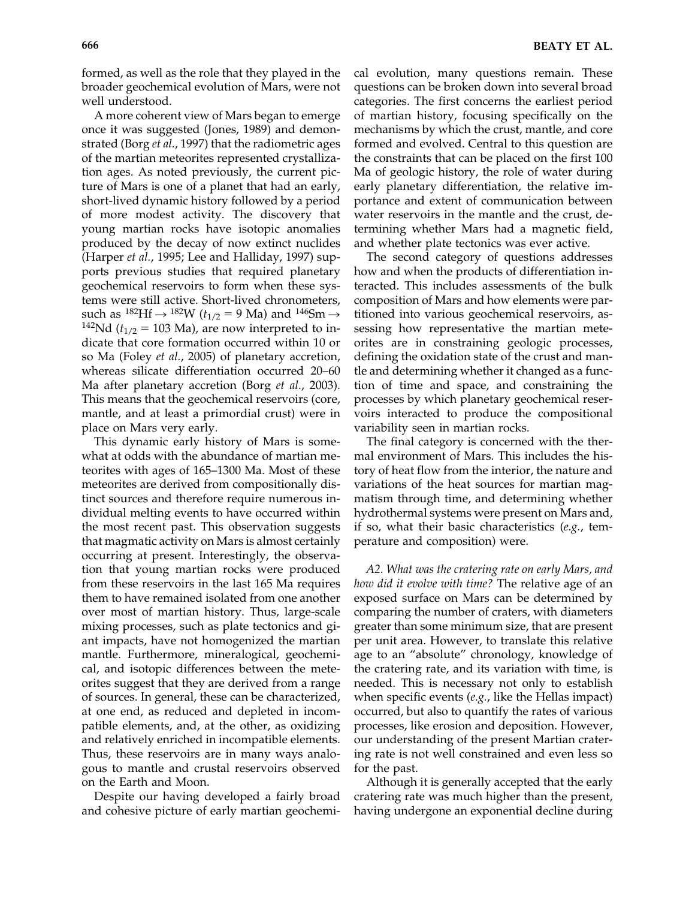formed, as well as the role that they played in the broader geochemical evolution of Mars, were not well understood.

A more coherent view of Mars began to emerge once it was suggested (Jones, 1989) and demonstrated (Borg *et al.*, 1997) that the radiometric ages of the martian meteorites represented crystallization ages. As noted previously, the current picture of Mars is one of a planet that had an early, short-lived dynamic history followed by a period of more modest activity. The discovery that young martian rocks have isotopic anomalies produced by the decay of now extinct nuclides (Harper *et al.*, 1995; Lee and Halliday, 1997) supports previous studies that required planetary geochemical reservoirs to form when these systems were still active. Short-lived chronometers, such as  $^{182}$ Hf  $\rightarrow$   $^{182}$ W ( $t_{1/2}$  = 9 Ma) and  $^{146}$ Sm  $\rightarrow$ <sup>142</sup>Nd ( $t_{1/2}$  = 103 Ma), are now interpreted to indicate that core formation occurred within 10 or so Ma (Foley *et al.*, 2005) of planetary accretion, whereas silicate differentiation occurred 20–60 Ma after planetary accretion (Borg *et al.*, 2003). This means that the geochemical reservoirs (core, mantle, and at least a primordial crust) were in place on Mars very early.

This dynamic early history of Mars is somewhat at odds with the abundance of martian meteorites with ages of 165–1300 Ma. Most of these meteorites are derived from compositionally distinct sources and therefore require numerous individual melting events to have occurred within the most recent past. This observation suggests that magmatic activity on Mars is almost certainly occurring at present. Interestingly, the observation that young martian rocks were produced from these reservoirs in the last 165 Ma requires them to have remained isolated from one another over most of martian history. Thus, large-scale mixing processes, such as plate tectonics and giant impacts, have not homogenized the martian mantle. Furthermore, mineralogical, geochemical, and isotopic differences between the meteorites suggest that they are derived from a range of sources. In general, these can be characterized, at one end, as reduced and depleted in incompatible elements, and, at the other, as oxidizing and relatively enriched in incompatible elements. Thus, these reservoirs are in many ways analogous to mantle and crustal reservoirs observed on the Earth and Moon.

Despite our having developed a fairly broad and cohesive picture of early martian geochemical evolution, many questions remain. These questions can be broken down into several broad categories. The first concerns the earliest period of martian history, focusing specifically on the mechanisms by which the crust, mantle, and core formed and evolved. Central to this question are the constraints that can be placed on the first 100 Ma of geologic history, the role of water during early planetary differentiation, the relative importance and extent of communication between water reservoirs in the mantle and the crust, determining whether Mars had a magnetic field, and whether plate tectonics was ever active.

The second category of questions addresses how and when the products of differentiation interacted. This includes assessments of the bulk composition of Mars and how elements were partitioned into various geochemical reservoirs, assessing how representative the martian meteorites are in constraining geologic processes, defining the oxidation state of the crust and mantle and determining whether it changed as a function of time and space, and constraining the processes by which planetary geochemical reservoirs interacted to produce the compositional variability seen in martian rocks.

The final category is concerned with the thermal environment of Mars. This includes the history of heat flow from the interior, the nature and variations of the heat sources for martian magmatism through time, and determining whether hydrothermal systems were present on Mars and, if so, what their basic characteristics (*e.g.*, temperature and composition) were.

*A2. What was the cratering rate on early Mars, and how did it evolve with time?* The relative age of an exposed surface on Mars can be determined by comparing the number of craters, with diameters greater than some minimum size, that are present per unit area. However, to translate this relative age to an "absolute" chronology, knowledge of the cratering rate, and its variation with time, is needed. This is necessary not only to establish when specific events (*e.g.*, like the Hellas impact) occurred, but also to quantify the rates of various processes, like erosion and deposition. However, our understanding of the present Martian cratering rate is not well constrained and even less so for the past.

Although it is generally accepted that the early cratering rate was much higher than the present, having undergone an exponential decline during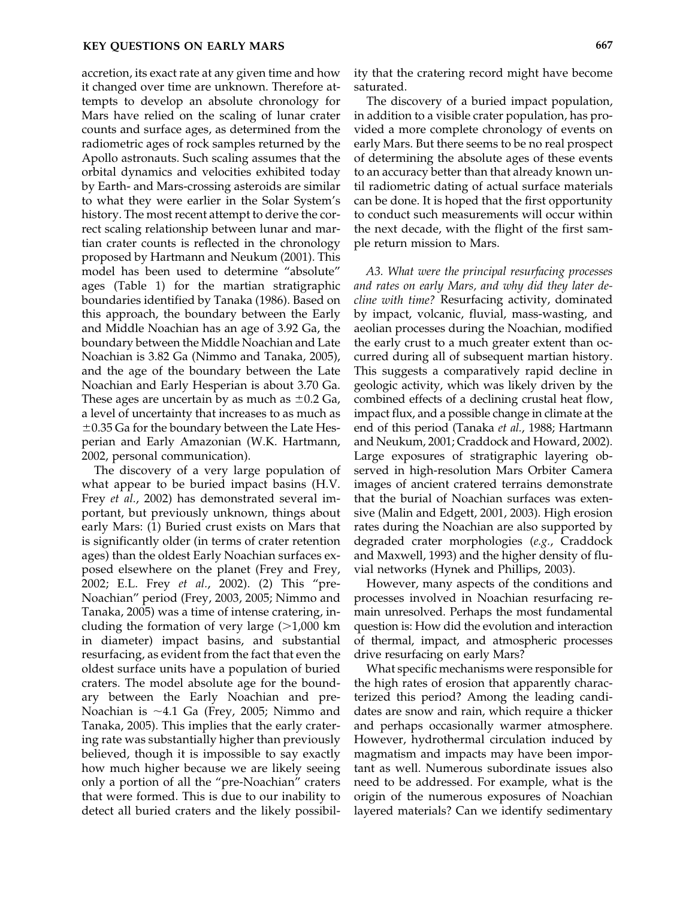#### **KEY QUESTIONS ON EARLY MARS 667**

accretion, its exact rate at any given time and how it changed over time are unknown. Therefore attempts to develop an absolute chronology for Mars have relied on the scaling of lunar crater counts and surface ages, as determined from the radiometric ages of rock samples returned by the Apollo astronauts. Such scaling assumes that the orbital dynamics and velocities exhibited today by Earth- and Mars-crossing asteroids are similar to what they were earlier in the Solar System's history. The most recent attempt to derive the correct scaling relationship between lunar and martian crater counts is reflected in the chronology proposed by Hartmann and Neukum (2001). This model has been used to determine "absolute" ages (Table 1) for the martian stratigraphic boundaries identified by Tanaka (1986). Based on this approach, the boundary between the Early and Middle Noachian has an age of 3.92 Ga, the boundary between the Middle Noachian and Late Noachian is 3.82 Ga (Nimmo and Tanaka, 2005), and the age of the boundary between the Late Noachian and Early Hesperian is about 3.70 Ga. These ages are uncertain by as much as  $\pm 0.2$  Ga, a level of uncertainty that increases to as much as  $\pm 0.35$  Ga for the boundary between the Late Hesperian and Early Amazonian (W.K. Hartmann, 2002, personal communication).

The discovery of a very large population of what appear to be buried impact basins (H.V. Frey *et al.*, 2002) has demonstrated several important, but previously unknown, things about early Mars: (1) Buried crust exists on Mars that is significantly older (in terms of crater retention ages) than the oldest Early Noachian surfaces exposed elsewhere on the planet (Frey and Frey, 2002; E.L. Frey *et al.*, 2002). (2) This "pre-Noachian" period (Frey, 2003, 2005; Nimmo and Tanaka, 2005) was a time of intense cratering, including the formation of very large  $(>1,000$  km in diameter) impact basins, and substantial resurfacing, as evident from the fact that even the oldest surface units have a population of buried craters. The model absolute age for the boundary between the Early Noachian and pre-Noachian is  ${\sim}4.1$  Ga (Frey, 2005; Nimmo and Tanaka, 2005). This implies that the early cratering rate was substantially higher than previously believed, though it is impossible to say exactly how much higher because we are likely seeing only a portion of all the "pre-Noachian" craters that were formed. This is due to our inability to detect all buried craters and the likely possibility that the cratering record might have become saturated.

The discovery of a buried impact population, in addition to a visible crater population, has provided a more complete chronology of events on early Mars. But there seems to be no real prospect of determining the absolute ages of these events to an accuracy better than that already known until radiometric dating of actual surface materials can be done. It is hoped that the first opportunity to conduct such measurements will occur within the next decade, with the flight of the first sample return mission to Mars.

*A3. What were the principal resurfacing processes and rates on early Mars, and why did they later decline with time?* Resurfacing activity, dominated by impact, volcanic, fluvial, mass-wasting, and aeolian processes during the Noachian, modified the early crust to a much greater extent than occurred during all of subsequent martian history. This suggests a comparatively rapid decline in geologic activity, which was likely driven by the combined effects of a declining crustal heat flow, impact flux, and a possible change in climate at the end of this period (Tanaka *et al.*, 1988; Hartmann and Neukum, 2001; Craddock and Howard, 2002). Large exposures of stratigraphic layering observed in high-resolution Mars Orbiter Camera images of ancient cratered terrains demonstrate that the burial of Noachian surfaces was extensive (Malin and Edgett, 2001, 2003). High erosion rates during the Noachian are also supported by degraded crater morphologies (*e.g.*, Craddock and Maxwell, 1993) and the higher density of fluvial networks (Hynek and Phillips, 2003).

However, many aspects of the conditions and processes involved in Noachian resurfacing remain unresolved. Perhaps the most fundamental question is: How did the evolution and interaction of thermal, impact, and atmospheric processes drive resurfacing on early Mars?

What specific mechanisms were responsible for the high rates of erosion that apparently characterized this period? Among the leading candidates are snow and rain, which require a thicker and perhaps occasionally warmer atmosphere. However, hydrothermal circulation induced by magmatism and impacts may have been important as well. Numerous subordinate issues also need to be addressed. For example, what is the origin of the numerous exposures of Noachian layered materials? Can we identify sedimentary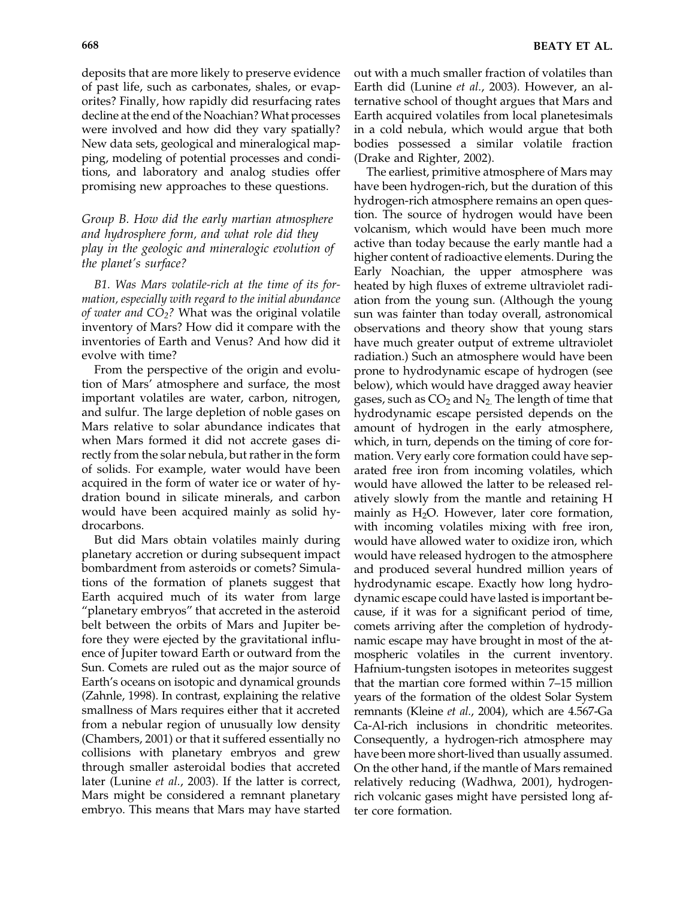deposits that are more likely to preserve evidence of past life, such as carbonates, shales, or evaporites? Finally, how rapidly did resurfacing rates decline at the end of the Noachian? What processes were involved and how did they vary spatially? New data sets, geological and mineralogical mapping, modeling of potential processes and conditions, and laboratory and analog studies offer promising new approaches to these questions.

## *Group B. How did the early martian atmosphere and hydrosphere form, and what role did they play in the geologic and mineralogic evolution of the planet's surface?*

*B1. Was Mars volatile-rich at the time of its formation, especially with regard to the initial abundance of water and CO2?* What was the original volatile inventory of Mars? How did it compare with the inventories of Earth and Venus? And how did it evolve with time?

From the perspective of the origin and evolution of Mars' atmosphere and surface, the most important volatiles are water, carbon, nitrogen, and sulfur. The large depletion of noble gases on Mars relative to solar abundance indicates that when Mars formed it did not accrete gases directly from the solar nebula, but rather in the form of solids. For example, water would have been acquired in the form of water ice or water of hydration bound in silicate minerals, and carbon would have been acquired mainly as solid hydrocarbons.

But did Mars obtain volatiles mainly during planetary accretion or during subsequent impact bombardment from asteroids or comets? Simulations of the formation of planets suggest that Earth acquired much of its water from large "planetary embryos" that accreted in the asteroid belt between the orbits of Mars and Jupiter before they were ejected by the gravitational influence of Jupiter toward Earth or outward from the Sun. Comets are ruled out as the major source of Earth's oceans on isotopic and dynamical grounds (Zahnle, 1998). In contrast, explaining the relative smallness of Mars requires either that it accreted from a nebular region of unusually low density (Chambers, 2001) or that it suffered essentially no collisions with planetary embryos and grew through smaller asteroidal bodies that accreted later (Lunine *et al.*, 2003). If the latter is correct, Mars might be considered a remnant planetary embryo. This means that Mars may have started

out with a much smaller fraction of volatiles than Earth did (Lunine *et al.*, 2003). However, an alternative school of thought argues that Mars and Earth acquired volatiles from local planetesimals in a cold nebula, which would argue that both bodies possessed a similar volatile fraction (Drake and Righter, 2002).

The earliest, primitive atmosphere of Mars may have been hydrogen-rich, but the duration of this hydrogen-rich atmosphere remains an open question. The source of hydrogen would have been volcanism, which would have been much more active than today because the early mantle had a higher content of radioactive elements. During the Early Noachian, the upper atmosphere was heated by high fluxes of extreme ultraviolet radiation from the young sun. (Although the young sun was fainter than today overall, astronomical observations and theory show that young stars have much greater output of extreme ultraviolet radiation.) Such an atmosphere would have been prone to hydrodynamic escape of hydrogen (see below), which would have dragged away heavier gases, such as  $CO<sub>2</sub>$  and  $N<sub>2</sub>$ . The length of time that hydrodynamic escape persisted depends on the amount of hydrogen in the early atmosphere, which, in turn, depends on the timing of core formation. Very early core formation could have separated free iron from incoming volatiles, which would have allowed the latter to be released relatively slowly from the mantle and retaining H mainly as  $H_2O$ . However, later core formation, with incoming volatiles mixing with free iron, would have allowed water to oxidize iron, which would have released hydrogen to the atmosphere and produced several hundred million years of hydrodynamic escape. Exactly how long hydrodynamic escape could have lasted is important because, if it was for a significant period of time, comets arriving after the completion of hydrodynamic escape may have brought in most of the atmospheric volatiles in the current inventory. Hafnium-tungsten isotopes in meteorites suggest that the martian core formed within 7–15 million years of the formation of the oldest Solar System remnants (Kleine *et al.*, 2004), which are 4.567-Ga Ca-Al-rich inclusions in chondritic meteorites. Consequently, a hydrogen-rich atmosphere may have been more short-lived than usually assumed. On the other hand, if the mantle of Mars remained relatively reducing (Wadhwa, 2001), hydrogenrich volcanic gases might have persisted long after core formation.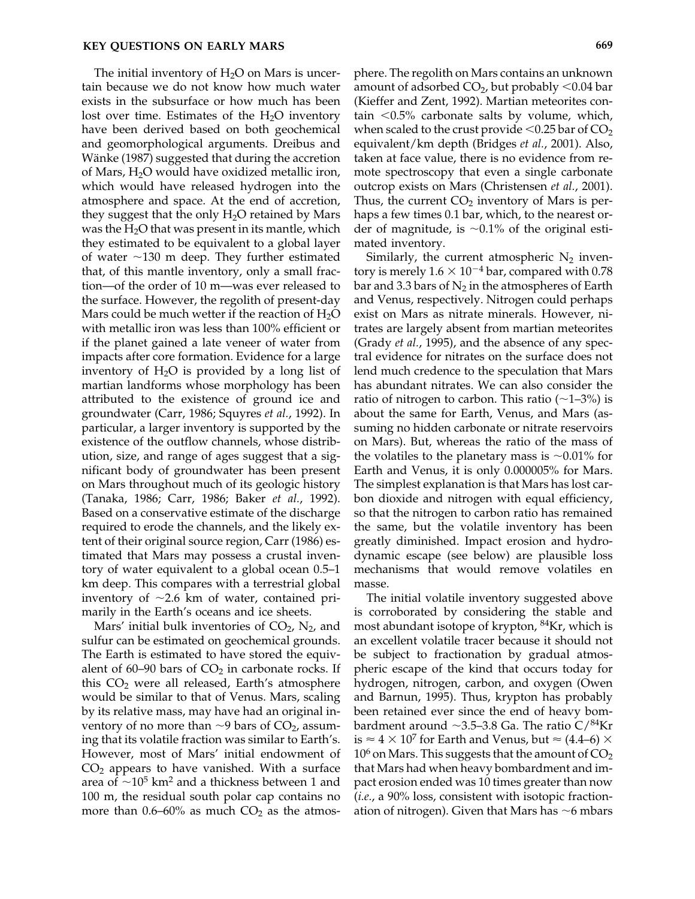The initial inventory of  $H<sub>2</sub>O$  on Mars is uncertain because we do not know how much water exists in the subsurface or how much has been lost over time. Estimates of the  $H_2O$  inventory have been derived based on both geochemical and geomorphological arguments. Dreibus and Wänke (1987) suggested that during the accretion of Mars,  $H_2O$  would have oxidized metallic iron, which would have released hydrogen into the atmosphere and space. At the end of accretion, they suggest that the only  $H_2O$  retained by Mars was the  $H_2O$  that was present in its mantle, which they estimated to be equivalent to a global layer of water  $\sim$ 130 m deep. They further estimated that, of this mantle inventory, only a small fraction—of the order of 10 m—was ever released to the surface. However, the regolith of present-day Mars could be much wetter if the reaction of  $H_2O$ with metallic iron was less than 100% efficient or if the planet gained a late veneer of water from impacts after core formation. Evidence for a large inventory of  $H_2O$  is provided by a long list of martian landforms whose morphology has been attributed to the existence of ground ice and groundwater (Carr, 1986; Squyres *et al.*, 1992). In particular, a larger inventory is supported by the existence of the outflow channels, whose distribution, size, and range of ages suggest that a significant body of groundwater has been present on Mars throughout much of its geologic history (Tanaka, 1986; Carr, 1986; Baker *et al.*, 1992). Based on a conservative estimate of the discharge required to erode the channels, and the likely extent of their original source region, Carr (1986) estimated that Mars may possess a crustal inventory of water equivalent to a global ocean 0.5–1 km deep. This compares with a terrestrial global inventory of  $\sim$ 2.6 km of water, contained primarily in the Earth's oceans and ice sheets.

Mars' initial bulk inventories of  $CO<sub>2</sub>$ , N<sub>2</sub>, and sulfur can be estimated on geochemical grounds. The Earth is estimated to have stored the equivalent of  $60-90$  bars of  $CO<sub>2</sub>$  in carbonate rocks. If this  $CO<sub>2</sub>$  were all released, Earth's atmosphere would be similar to that of Venus. Mars, scaling by its relative mass, may have had an original inventory of no more than  ${\sim}9$  bars of CO<sub>2</sub>, assuming that its volatile fraction was similar to Earth's. However, most of Mars' initial endowment of  $CO<sub>2</sub>$  appears to have vanished. With a surface area of  $\sim$ 10<sup>5</sup> km<sup>2</sup> and a thickness between 1 and 100 m, the residual south polar cap contains no more than  $0.6-60\%$  as much  $CO<sub>2</sub>$  as the atmosphere. The regolith on Mars contains an unknown amount of adsorbed  $CO_2$ , but probably  $<$  0.04 bar (Kieffer and Zent, 1992). Martian meteorites contain -0.5% carbonate salts by volume, which, when scaled to the crust provide  $<$  0.25 bar of CO<sub>2</sub> equivalent/km depth (Bridges *et al.*, 2001). Also, taken at face value, there is no evidence from remote spectroscopy that even a single carbonate outcrop exists on Mars (Christensen *et al.*, 2001). Thus, the current  $CO<sub>2</sub>$  inventory of Mars is perhaps a few times 0.1 bar, which, to the nearest order of magnitude, is  $\sim 0.1\%$  of the original estimated inventory.

Similarly, the current atmospheric  $N_2$  inventory is merely  $1.6 \times 10^{-4}$  bar, compared with 0.78 bar and 3.3 bars of  $N_2$  in the atmospheres of Earth and Venus, respectively. Nitrogen could perhaps exist on Mars as nitrate minerals. However, nitrates are largely absent from martian meteorites (Grady *et al.*, 1995), and the absence of any spectral evidence for nitrates on the surface does not lend much credence to the speculation that Mars has abundant nitrates. We can also consider the ratio of nitrogen to carbon. This ratio  $(\sim 1-3\%)$  is about the same for Earth, Venus, and Mars (assuming no hidden carbonate or nitrate reservoirs on Mars). But, whereas the ratio of the mass of the volatiles to the planetary mass is  $\sim$  0.01% for Earth and Venus, it is only 0.000005% for Mars. The simplest explanation is that Mars has lost carbon dioxide and nitrogen with equal efficiency, so that the nitrogen to carbon ratio has remained the same, but the volatile inventory has been greatly diminished. Impact erosion and hydrodynamic escape (see below) are plausible loss mechanisms that would remove volatiles en masse.

The initial volatile inventory suggested above is corroborated by considering the stable and most abundant isotope of krypton, <sup>84</sup>Kr, which is an excellent volatile tracer because it should not be subject to fractionation by gradual atmospheric escape of the kind that occurs today for hydrogen, nitrogen, carbon, and oxygen (Owen and Barnun, 1995). Thus, krypton has probably been retained ever since the end of heavy bombardment around  $\sim$ 3.5–3.8 Ga. The ratio  $\rm C/^{84}Kr$ is  $\approx 4 \times 10^7$  for Earth and Venus, but  $\approx$  (4.4–6)  $\times$  $10<sup>6</sup>$  on Mars. This suggests that the amount of  $CO<sub>2</sub>$ that Mars had when heavy bombardment and impact erosion ended was 10 times greater than now (*i.e.*, a 90% loss, consistent with isotopic fractionation of nitrogen). Given that Mars has  $\sim$ 6 mbars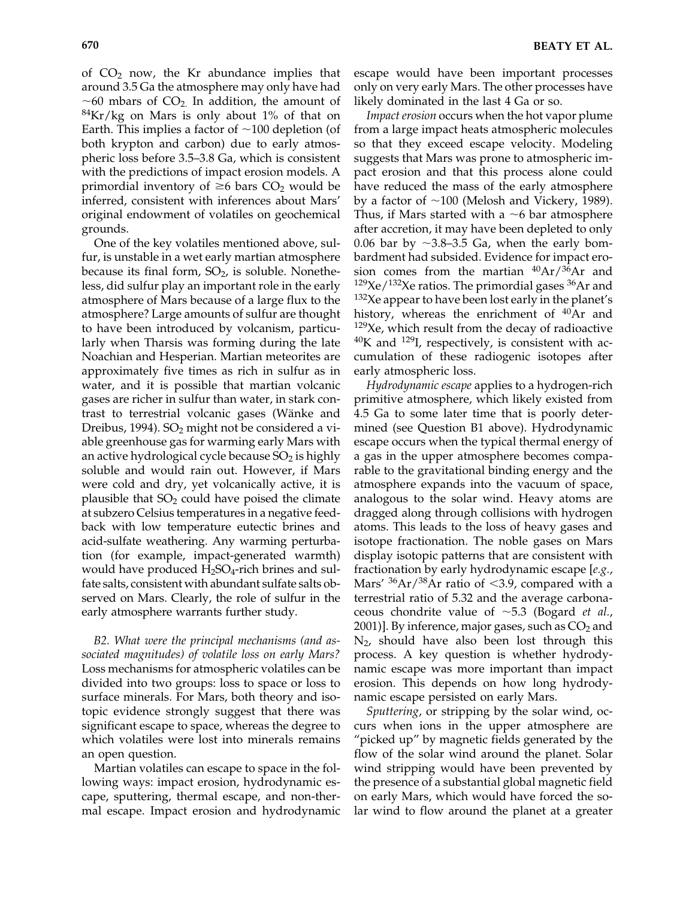of  $CO<sub>2</sub>$  now, the Kr abundance implies that around 3.5 Ga the atmosphere may only have had  $\sim$  60 mbars of CO<sub>2</sub>. In addition, the amount of  $84Kr/kg$  on Mars is only about 1% of that on Earth. This implies a factor of  $\sim\!\!100$  depletion (of both krypton and carbon) due to early atmospheric loss before 3.5–3.8 Ga, which is consistent with the predictions of impact erosion models. A primordial inventory of  $\geq 6$  bars CO<sub>2</sub> would be inferred, consistent with inferences about Mars' original endowment of volatiles on geochemical grounds.

One of the key volatiles mentioned above, sulfur, is unstable in a wet early martian atmosphere because its final form,  $SO<sub>2</sub>$ , is soluble. Nonetheless, did sulfur play an important role in the early atmosphere of Mars because of a large flux to the atmosphere? Large amounts of sulfur are thought to have been introduced by volcanism, particularly when Tharsis was forming during the late Noachian and Hesperian. Martian meteorites are approximately five times as rich in sulfur as in water, and it is possible that martian volcanic gases are richer in sulfur than water, in stark contrast to terrestrial volcanic gases (Wänke and Dreibus, 1994).  $SO_2$  might not be considered a viable greenhouse gas for warming early Mars with an active hydrological cycle because  $SO<sub>2</sub>$  is highly soluble and would rain out. However, if Mars were cold and dry, yet volcanically active, it is plausible that  $SO<sub>2</sub>$  could have poised the climate at subzero Celsius temperatures in a negative feedback with low temperature eutectic brines and acid-sulfate weathering. Any warming perturbation (for example, impact-generated warmth) would have produced  $H_2SO_4$ -rich brines and sulfate salts, consistent with abundant sulfate salts observed on Mars. Clearly, the role of sulfur in the early atmosphere warrants further study.

*B2. What were the principal mechanisms (and associated magnitudes) of volatile loss on early Mars?* Loss mechanisms for atmospheric volatiles can be divided into two groups: loss to space or loss to surface minerals. For Mars, both theory and isotopic evidence strongly suggest that there was significant escape to space, whereas the degree to which volatiles were lost into minerals remains an open question.

Martian volatiles can escape to space in the following ways: impact erosion, hydrodynamic escape, sputtering, thermal escape, and non-thermal escape. Impact erosion and hydrodynamic escape would have been important processes only on very early Mars. The other processes have likely dominated in the last 4 Ga or so.

*Impact erosion* occurs when the hot vapor plume from a large impact heats atmospheric molecules so that they exceed escape velocity. Modeling suggests that Mars was prone to atmospheric impact erosion and that this process alone could have reduced the mass of the early atmosphere by a factor of  $\sim$ 100 (Melosh and Vickery, 1989). Thus, if Mars started with a  $\sim$ 6 bar atmosphere after accretion, it may have been depleted to only 0.06 bar by  $\sim$ 3.8–3.5 Ga, when the early bombardment had subsided. Evidence for impact erosion comes from the martian  $\frac{40}{\text{Ar}}\frac{36}{\text{Ar}}$  and  $129$ Xe/ $132$ Xe ratios. The primordial gases  $36$ Ar and <sup>132</sup>Xe appear to have been lost early in the planet's history, whereas the enrichment of  $40Ar$  and  $129$ Xe, which result from the decay of radioactive  $^{40}$ K and  $^{129}$ I, respectively, is consistent with accumulation of these radiogenic isotopes after early atmospheric loss.

*Hydrodynamic escape* applies to a hydrogen-rich primitive atmosphere, which likely existed from 4.5 Ga to some later time that is poorly determined (see Question B1 above). Hydrodynamic escape occurs when the typical thermal energy of a gas in the upper atmosphere becomes comparable to the gravitational binding energy and the atmosphere expands into the vacuum of space, analogous to the solar wind. Heavy atoms are dragged along through collisions with hydrogen atoms. This leads to the loss of heavy gases and isotope fractionation. The noble gases on Mars display isotopic patterns that are consistent with fractionation by early hydrodynamic escape [*e.g.*, Mars'  $\rm{^{36}Ar/^{38}Ar}$  ratio of  $\rm{<}3.9$ , compared with a terrestrial ratio of 5.32 and the average carbonaceous chondrite value of -5.3 (Bogard *et al.*, 2001)]. By inference, major gases, such as  $CO<sub>2</sub>$  and  $N_2$ , should have also been lost through this process. A key question is whether hydrodynamic escape was more important than impact erosion. This depends on how long hydrodynamic escape persisted on early Mars.

*Sputtering*, or stripping by the solar wind, occurs when ions in the upper atmosphere are "picked up" by magnetic fields generated by the flow of the solar wind around the planet. Solar wind stripping would have been prevented by the presence of a substantial global magnetic field on early Mars, which would have forced the solar wind to flow around the planet at a greater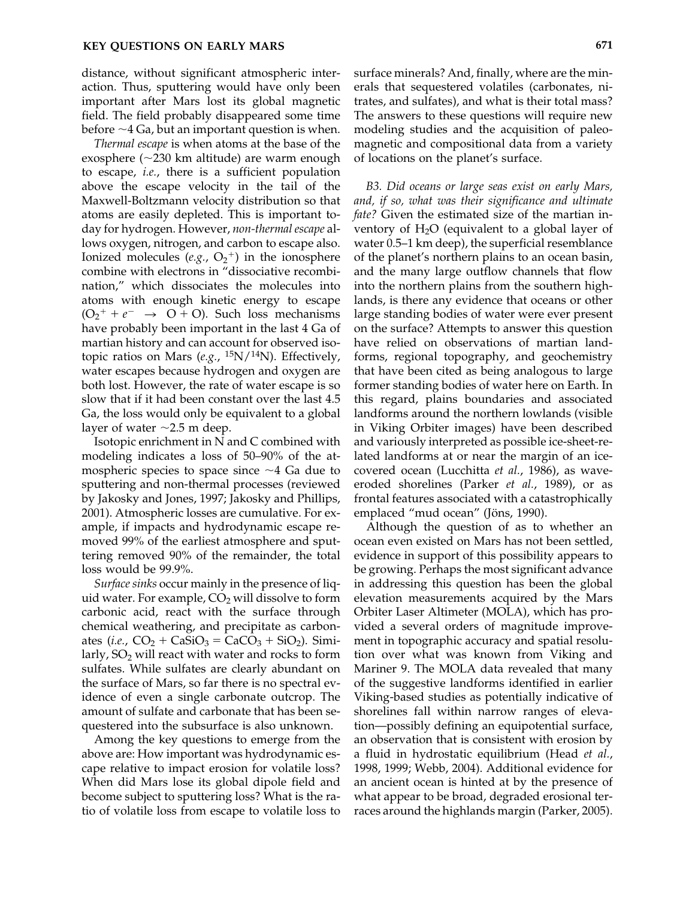distance, without significant atmospheric interaction. Thus, sputtering would have only been important after Mars lost its global magnetic field. The field probably disappeared some time before  ${\sim}4$  Ga, but an important question is when.

*Thermal escape* is when atoms at the base of the exosphere (~230 km altitude) are warm enough to escape, *i.e.*, there is a sufficient population above the escape velocity in the tail of the Maxwell-Boltzmann velocity distribution so that atoms are easily depleted. This is important today for hydrogen. However, *non-thermal escape* allows oxygen, nitrogen, and carbon to escape also. Ionized molecules  $(e.g., O_2^+)$  in the ionosphere combine with electrons in "dissociative recombination," which dissociates the molecules into atoms with enough kinetic energy to escape  $(O_2^+ + e^- \rightarrow O + O)$ . Such loss mechanisms have probably been important in the last 4 Ga of martian history and can account for observed isotopic ratios on Mars  $(e.g., <sup>15</sup>N/14N)$ . Effectively, water escapes because hydrogen and oxygen are both lost. However, the rate of water escape is so slow that if it had been constant over the last 4.5 Ga, the loss would only be equivalent to a global layer of water  $\sim$ 2.5 m deep.

Isotopic enrichment in N and C combined with modeling indicates a loss of 50–90% of the atmospheric species to space since  $\sim\!\!4$  Ga due to sputtering and non-thermal processes (reviewed by Jakosky and Jones, 1997; Jakosky and Phillips, 2001). Atmospheric losses are cumulative. For example, if impacts and hydrodynamic escape removed 99% of the earliest atmosphere and sputtering removed 90% of the remainder, the total loss would be 99.9%.

*Surface sinks* occur mainly in the presence of liquid water. For example,  $CO<sub>2</sub>$  will dissolve to form carbonic acid, react with the surface through chemical weathering, and precipitate as carbonates (*i.e.*,  $CO_2 + CaSiO_3 = CaCO_3 + SiO_2$ ). Similarly,  $SO<sub>2</sub>$  will react with water and rocks to form sulfates. While sulfates are clearly abundant on the surface of Mars, so far there is no spectral evidence of even a single carbonate outcrop. The amount of sulfate and carbonate that has been sequestered into the subsurface is also unknown.

Among the key questions to emerge from the above are: How important was hydrodynamic escape relative to impact erosion for volatile loss? When did Mars lose its global dipole field and become subject to sputtering loss? What is the ratio of volatile loss from escape to volatile loss to surface minerals? And, finally, where are the minerals that sequestered volatiles (carbonates, nitrates, and sulfates), and what is their total mass? The answers to these questions will require new modeling studies and the acquisition of paleomagnetic and compositional data from a variety of locations on the planet's surface.

*B3. Did oceans or large seas exist on early Mars, and, if so, what was their significance and ultimate fate?* Given the estimated size of the martian inventory of  $H_2O$  (equivalent to a global layer of water 0.5–1 km deep), the superficial resemblance of the planet's northern plains to an ocean basin, and the many large outflow channels that flow into the northern plains from the southern highlands, is there any evidence that oceans or other large standing bodies of water were ever present on the surface? Attempts to answer this question have relied on observations of martian landforms, regional topography, and geochemistry that have been cited as being analogous to large former standing bodies of water here on Earth. In this regard, plains boundaries and associated landforms around the northern lowlands (visible in Viking Orbiter images) have been described and variously interpreted as possible ice-sheet-related landforms at or near the margin of an icecovered ocean (Lucchitta *et al.*, 1986), as waveeroded shorelines (Parker *et al.*, 1989), or as frontal features associated with a catastrophically emplaced "mud ocean" (Jöns, 1990).

Although the question of as to whether an ocean even existed on Mars has not been settled, evidence in support of this possibility appears to be growing. Perhaps the most significant advance in addressing this question has been the global elevation measurements acquired by the Mars Orbiter Laser Altimeter (MOLA), which has provided a several orders of magnitude improvement in topographic accuracy and spatial resolution over what was known from Viking and Mariner 9. The MOLA data revealed that many of the suggestive landforms identified in earlier Viking-based studies as potentially indicative of shorelines fall within narrow ranges of elevation—possibly defining an equipotential surface, an observation that is consistent with erosion by a fluid in hydrostatic equilibrium (Head *et al.*, 1998, 1999; Webb, 2004). Additional evidence for an ancient ocean is hinted at by the presence of what appear to be broad, degraded erosional terraces around the highlands margin (Parker, 2005).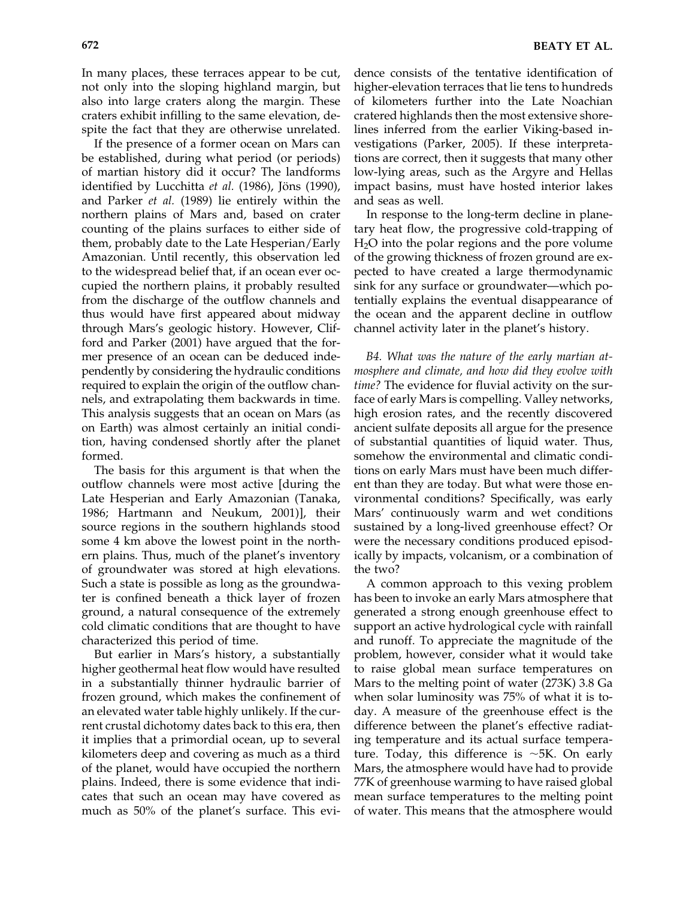In many places, these terraces appear to be cut, not only into the sloping highland margin, but also into large craters along the margin. These craters exhibit infilling to the same elevation, despite the fact that they are otherwise unrelated.

If the presence of a former ocean on Mars can be established, during what period (or periods) of martian history did it occur? The landforms identified by Lucchitta *et al.* (1986), Jöns (1990), and Parker *et al.* (1989) lie entirely within the northern plains of Mars and, based on crater counting of the plains surfaces to either side of them, probably date to the Late Hesperian/Early Amazonian. Until recently, this observation led to the widespread belief that, if an ocean ever occupied the northern plains, it probably resulted from the discharge of the outflow channels and thus would have first appeared about midway through Mars's geologic history. However, Clifford and Parker (2001) have argued that the former presence of an ocean can be deduced independently by considering the hydraulic conditions required to explain the origin of the outflow channels, and extrapolating them backwards in time. This analysis suggests that an ocean on Mars (as on Earth) was almost certainly an initial condition, having condensed shortly after the planet formed.

The basis for this argument is that when the outflow channels were most active [during the Late Hesperian and Early Amazonian (Tanaka, 1986; Hartmann and Neukum, 2001)], their source regions in the southern highlands stood some 4 km above the lowest point in the northern plains. Thus, much of the planet's inventory of groundwater was stored at high elevations. Such a state is possible as long as the groundwater is confined beneath a thick layer of frozen ground, a natural consequence of the extremely cold climatic conditions that are thought to have characterized this period of time.

But earlier in Mars's history, a substantially higher geothermal heat flow would have resulted in a substantially thinner hydraulic barrier of frozen ground, which makes the confinement of an elevated water table highly unlikely. If the current crustal dichotomy dates back to this era, then it implies that a primordial ocean, up to several kilometers deep and covering as much as a third of the planet, would have occupied the northern plains. Indeed, there is some evidence that indicates that such an ocean may have covered as much as 50% of the planet's surface. This evidence consists of the tentative identification of higher-elevation terraces that lie tens to hundreds of kilometers further into the Late Noachian cratered highlands then the most extensive shorelines inferred from the earlier Viking-based investigations (Parker, 2005). If these interpretations are correct, then it suggests that many other low-lying areas, such as the Argyre and Hellas impact basins, must have hosted interior lakes and seas as well.

In response to the long-term decline in planetary heat flow, the progressive cold-trapping of H2O into the polar regions and the pore volume of the growing thickness of frozen ground are expected to have created a large thermodynamic sink for any surface or groundwater—which potentially explains the eventual disappearance of the ocean and the apparent decline in outflow channel activity later in the planet's history.

*B4. What was the nature of the early martian atmosphere and climate, and how did they evolve with time?* The evidence for fluvial activity on the surface of early Mars is compelling. Valley networks, high erosion rates, and the recently discovered ancient sulfate deposits all argue for the presence of substantial quantities of liquid water. Thus, somehow the environmental and climatic conditions on early Mars must have been much different than they are today. But what were those environmental conditions? Specifically, was early Mars' continuously warm and wet conditions sustained by a long-lived greenhouse effect? Or were the necessary conditions produced episodically by impacts, volcanism, or a combination of the two?

A common approach to this vexing problem has been to invoke an early Mars atmosphere that generated a strong enough greenhouse effect to support an active hydrological cycle with rainfall and runoff. To appreciate the magnitude of the problem, however, consider what it would take to raise global mean surface temperatures on Mars to the melting point of water (273K) 3.8 Ga when solar luminosity was 75% of what it is today. A measure of the greenhouse effect is the difference between the planet's effective radiating temperature and its actual surface temperature. Today, this difference is  $\sim$ 5K. On early Mars, the atmosphere would have had to provide 77K of greenhouse warming to have raised global mean surface temperatures to the melting point of water. This means that the atmosphere would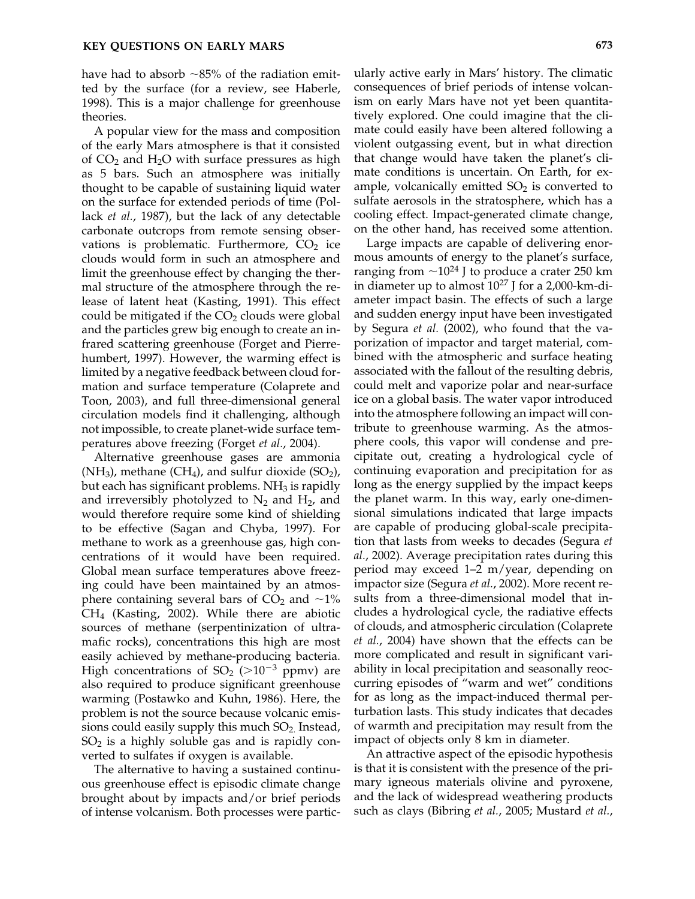have had to absorb  ${\sim}85\%$  of the radiation emitted by the surface (for a review, see Haberle, 1998). This is a major challenge for greenhouse theories.

A popular view for the mass and composition of the early Mars atmosphere is that it consisted of  $CO<sub>2</sub>$  and  $H<sub>2</sub>O$  with surface pressures as high as 5 bars. Such an atmosphere was initially thought to be capable of sustaining liquid water on the surface for extended periods of time (Pollack *et al.*, 1987), but the lack of any detectable carbonate outcrops from remote sensing observations is problematic. Furthermore,  $CO<sub>2</sub>$  ice clouds would form in such an atmosphere and limit the greenhouse effect by changing the thermal structure of the atmosphere through the release of latent heat (Kasting, 1991). This effect could be mitigated if the  $CO<sub>2</sub>$  clouds were global and the particles grew big enough to create an infrared scattering greenhouse (Forget and Pierrehumbert, 1997). However, the warming effect is limited by a negative feedback between cloud formation and surface temperature (Colaprete and Toon, 2003), and full three-dimensional general circulation models find it challenging, although not impossible, to create planet-wide surface temperatures above freezing (Forget *et al.*, 2004).

Alternative greenhouse gases are ammonia  $(NH_3)$ , methane  $(CH_4)$ , and sulfur dioxide  $(SO_2)$ , but each has significant problems.  $NH<sub>3</sub>$  is rapidly and irreversibly photolyzed to  $N_2$  and  $H_2$ , and would therefore require some kind of shielding to be effective (Sagan and Chyba, 1997). For methane to work as a greenhouse gas, high concentrations of it would have been required. Global mean surface temperatures above freezing could have been maintained by an atmosphere containing several bars of  $CO_2$  and  $\sim\!\!1\%$ CH4 (Kasting, 2002). While there are abiotic sources of methane (serpentinization of ultramafic rocks), concentrations this high are most easily achieved by methane-producing bacteria. High concentrations of  $SO_2$  ( $>10^{-3}$  ppmv) are also required to produce significant greenhouse warming (Postawko and Kuhn, 1986). Here, the problem is not the source because volcanic emissions could easily supply this much  $SO<sub>2</sub>$  Instead,  $SO<sub>2</sub>$  is a highly soluble gas and is rapidly converted to sulfates if oxygen is available.

The alternative to having a sustained continuous greenhouse effect is episodic climate change brought about by impacts and/or brief periods of intense volcanism. Both processes were particularly active early in Mars' history. The climatic consequences of brief periods of intense volcanism on early Mars have not yet been quantitatively explored. One could imagine that the climate could easily have been altered following a violent outgassing event, but in what direction that change would have taken the planet's climate conditions is uncertain. On Earth, for example, volcanically emitted  $SO<sub>2</sub>$  is converted to sulfate aerosols in the stratosphere, which has a cooling effect. Impact-generated climate change, on the other hand, has received some attention.

Large impacts are capable of delivering enormous amounts of energy to the planet's surface, ranging from  $\sim$ 10<sup>24</sup> J to produce a crater 250 km in diameter up to almost  $10^{27}$  J for a 2,000-km-diameter impact basin. The effects of such a large and sudden energy input have been investigated by Segura *et al.* (2002), who found that the vaporization of impactor and target material, combined with the atmospheric and surface heating associated with the fallout of the resulting debris, could melt and vaporize polar and near-surface ice on a global basis. The water vapor introduced into the atmosphere following an impact will contribute to greenhouse warming. As the atmosphere cools, this vapor will condense and precipitate out, creating a hydrological cycle of continuing evaporation and precipitation for as long as the energy supplied by the impact keeps the planet warm. In this way, early one-dimensional simulations indicated that large impacts are capable of producing global-scale precipitation that lasts from weeks to decades (Segura *et al.*, 2002). Average precipitation rates during this period may exceed 1–2 m/year, depending on impactor size (Segura *et al.*, 2002). More recent results from a three-dimensional model that includes a hydrological cycle, the radiative effects of clouds, and atmospheric circulation (Colaprete *et al.*, 2004) have shown that the effects can be more complicated and result in significant variability in local precipitation and seasonally reoccurring episodes of "warm and wet" conditions for as long as the impact-induced thermal perturbation lasts. This study indicates that decades of warmth and precipitation may result from the impact of objects only 8 km in diameter.

An attractive aspect of the episodic hypothesis is that it is consistent with the presence of the primary igneous materials olivine and pyroxene, and the lack of widespread weathering products such as clays (Bibring *et al.*, 2005; Mustard *et al.*,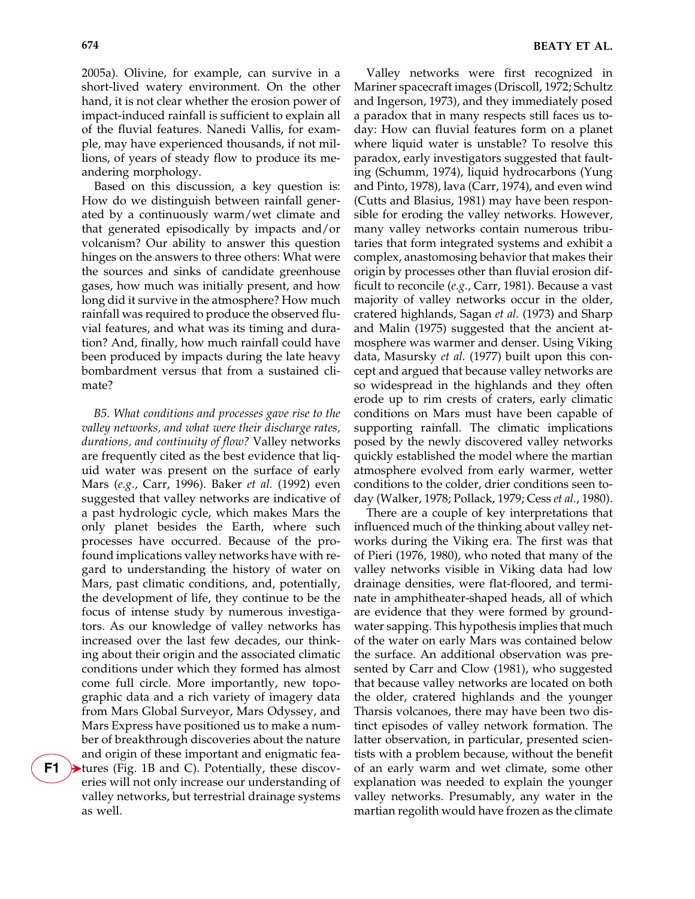2005a). Olivine, for example, can survive in a short-lived watery environment. On the other hand, it is not clear whether the erosion power of impact-induced rainfall is sufficient to explain all of the fluvial features. Nanedi Vallis, for example, may have experienced thousands, if not millions, of years of steady flow to produce its meandering morphology.

Based on this discussion, a key question is: How do we distinguish between rainfall generated by a continuously warm/wet climate and that generated episodically by impacts and/or volcanism? Our ability to answer this question hinges on the answers to three others: What were the sources and sinks of candidate greenhouse gases, how much was initially present, and how long did it survive in the atmosphere? How much rainfall was required to produce the observed fluvial features, and what was its timing and duration? And, finally, how much rainfall could have been produced by impacts during the late heavy bombardment versus that from a sustained climate?

*B5. What conditions and processes gave rise to the valley networks, and what were their discharge rates, durations, and continuity of flow?* Valley networks are frequently cited as the best evidence that liquid water was present on the surface of early Mars (*e.g.*, Carr, 1996). Baker *et al.* (1992) even suggested that valley networks are indicative of a past hydrologic cycle, which makes Mars the only planet besides the Earth, where such processes have occurred. Because of the profound implications valley networks have with regard to understanding the history of water on Mars, past climatic conditions, and, potentially, the development of life, they continue to be the focus of intense study by numerous investigators. As our knowledge of valley networks has increased over the last few decades, our thinking about their origin and the associated climatic conditions under which they formed has almost come full circle. More importantly, new topographic data and a rich variety of imagery data from Mars Global Surveyor, Mars Odyssey, and Mars Express have positioned us to make a number of breakthrough discoveries about the nature and origin of these important and enigmatic features (Fig. 1B and C). Potentially, these discoveries will not only increase our understanding of valley networks, but terrestrial drainage systems as well.

Valley networks were first recognized in Mariner spacecraft images (Driscoll, 1972; Schultz and Ingerson, 1973), and they immediately posed a paradox that in many respects still faces us today: How can fluvial features form on a planet where liquid water is unstable? To resolve this paradox, early investigators suggested that faulting (Schumm, 1974), liquid hydrocarbons (Yung and Pinto, 1978), lava (Carr, 1974), and even wind (Cutts and Blasius, 1981) may have been responsible for eroding the valley networks. However, many valley networks contain numerous tributaries that form integrated systems and exhibit a complex, anastomosing behavior that makes their origin by processes other than fluvial erosion difficult to reconcile (*e.g.*, Carr, 1981). Because a vast majority of valley networks occur in the older, cratered highlands, Sagan *et al.* (1973) and Sharp and Malin (1975) suggested that the ancient atmosphere was warmer and denser. Using Viking data, Masursky *et al.* (1977) built upon this concept and argued that because valley networks are so widespread in the highlands and they often erode up to rim crests of craters, early climatic conditions on Mars must have been capable of supporting rainfall. The climatic implications posed by the newly discovered valley networks quickly established the model where the martian atmosphere evolved from early warmer, wetter conditions to the colder, drier conditions seen today (Walker, 1978; Pollack, 1979; Cess *et al.*, 1980).

There are a couple of key interpretations that influenced much of the thinking about valley networks during the Viking era. The first was that of Pieri (1976, 1980), who noted that many of the valley networks visible in Viking data had low drainage densities, were flat-floored, and terminate in amphitheater-shaped heads, all of which are evidence that they were formed by groundwater sapping. This hypothesis implies that much of the water on early Mars was contained below the surface. An additional observation was presented by Carr and Clow (1981), who suggested that because valley networks are located on both the older, cratered highlands and the younger Tharsis volcanoes, there may have been two distinct episodes of valley network formation. The latter observation, in particular, presented scientists with a problem because, without the benefit of an early warm and wet climate, some other explanation was needed to explain the younger valley networks. Presumably, any water in the martian regolith would have frozen as the climate

**F1**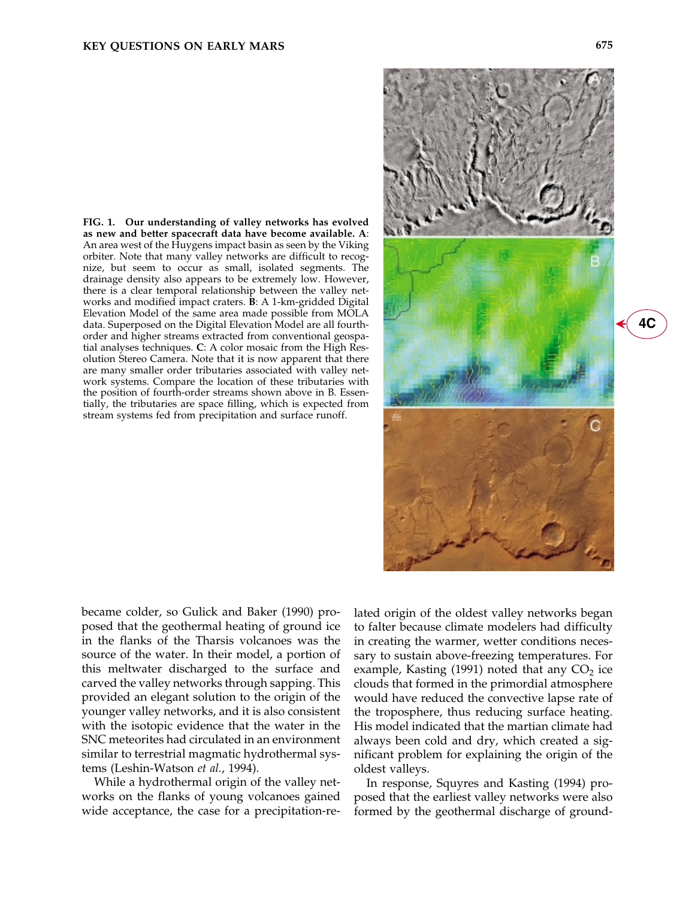**FIG. 1. Our understanding of valley networks has evolved as new and better spacecraft data have become available. A**: An area west of the Huygens impact basin as seen by the Viking orbiter. Note that many valley networks are difficult to recognize, but seem to occur as small, isolated segments. The drainage density also appears to be extremely low. However, there is a clear temporal relationship between the valley networks and modified impact craters. **B**: A 1-km-gridded Digital Elevation Model of the same area made possible from MOLA data. Superposed on the Digital Elevation Model are all fourthorder and higher streams extracted from conventional geospatial analyses techniques. **C**: A color mosaic from the High Resolution Stereo Camera. Note that it is now apparent that there are many smaller order tributaries associated with valley network systems. Compare the location of these tributaries with the position of fourth-order streams shown above in B. Essentially, the tributaries are space filling, which is expected from stream systems fed from precipitation and surface runoff.



became colder, so Gulick and Baker (1990) proposed that the geothermal heating of ground ice in the flanks of the Tharsis volcanoes was the source of the water. In their model, a portion of this meltwater discharged to the surface and carved the valley networks through sapping. This provided an elegant solution to the origin of the younger valley networks, and it is also consistent with the isotopic evidence that the water in the SNC meteorites had circulated in an environment similar to terrestrial magmatic hydrothermal systems (Leshin-Watson *et al.*, 1994).

While a hydrothermal origin of the valley networks on the flanks of young volcanoes gained wide acceptance, the case for a precipitation-related origin of the oldest valley networks began to falter because climate modelers had difficulty in creating the warmer, wetter conditions necessary to sustain above-freezing temperatures. For example, Kasting (1991) noted that any  $CO<sub>2</sub>$  ice clouds that formed in the primordial atmosphere would have reduced the convective lapse rate of the troposphere, thus reducing surface heating. His model indicated that the martian climate had always been cold and dry, which created a significant problem for explaining the origin of the oldest valleys.

In response, Squyres and Kasting (1994) proposed that the earliest valley networks were also formed by the geothermal discharge of ground**4C** -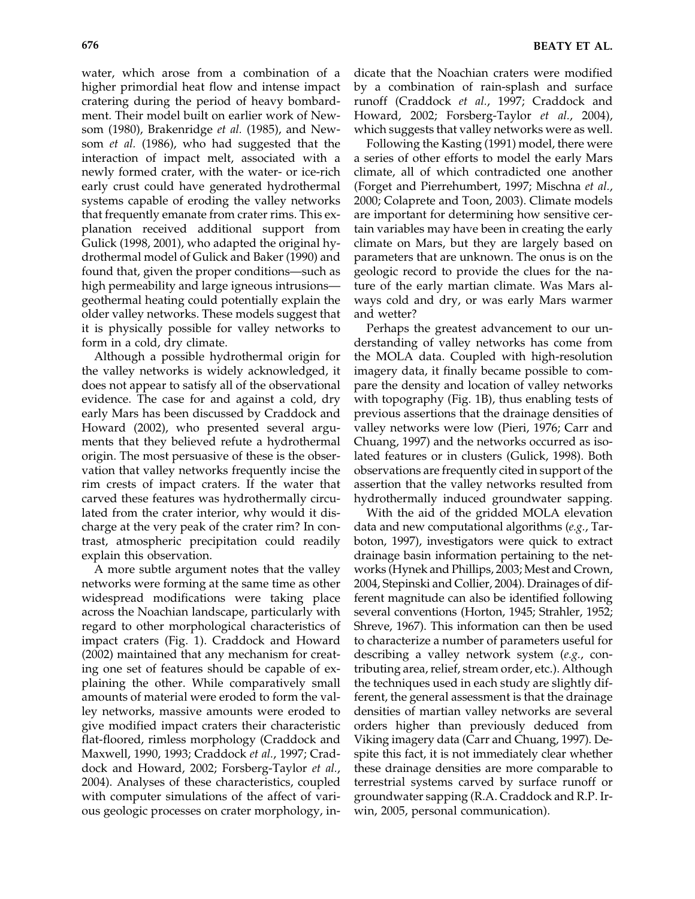water, which arose from a combination of a higher primordial heat flow and intense impact cratering during the period of heavy bombardment. Their model built on earlier work of Newsom (1980), Brakenridge *et al.* (1985), and Newsom *et al.* (1986), who had suggested that the interaction of impact melt, associated with a newly formed crater, with the water- or ice-rich early crust could have generated hydrothermal systems capable of eroding the valley networks that frequently emanate from crater rims. This explanation received additional support from Gulick (1998, 2001), who adapted the original hydrothermal model of Gulick and Baker (1990) and found that, given the proper conditions—such as high permeability and large igneous intrusions geothermal heating could potentially explain the older valley networks. These models suggest that it is physically possible for valley networks to form in a cold, dry climate.

Although a possible hydrothermal origin for the valley networks is widely acknowledged, it does not appear to satisfy all of the observational evidence. The case for and against a cold, dry early Mars has been discussed by Craddock and Howard (2002), who presented several arguments that they believed refute a hydrothermal origin. The most persuasive of these is the observation that valley networks frequently incise the rim crests of impact craters. If the water that carved these features was hydrothermally circulated from the crater interior, why would it discharge at the very peak of the crater rim? In contrast, atmospheric precipitation could readily explain this observation.

A more subtle argument notes that the valley networks were forming at the same time as other widespread modifications were taking place across the Noachian landscape, particularly with regard to other morphological characteristics of impact craters (Fig. 1). Craddock and Howard (2002) maintained that any mechanism for creating one set of features should be capable of explaining the other. While comparatively small amounts of material were eroded to form the valley networks, massive amounts were eroded to give modified impact craters their characteristic flat-floored, rimless morphology (Craddock and Maxwell, 1990, 1993; Craddock *et al.*, 1997; Craddock and Howard, 2002; Forsberg-Taylor *et al.*, 2004). Analyses of these characteristics, coupled with computer simulations of the affect of various geologic processes on crater morphology, indicate that the Noachian craters were modified by a combination of rain-splash and surface runoff (Craddock *et al.*, 1997; Craddock and Howard, 2002; Forsberg-Taylor *et al.*, 2004), which suggests that valley networks were as well.

Following the Kasting (1991) model, there were a series of other efforts to model the early Mars climate, all of which contradicted one another (Forget and Pierrehumbert, 1997; Mischna *et al.*, 2000; Colaprete and Toon, 2003). Climate models are important for determining how sensitive certain variables may have been in creating the early climate on Mars, but they are largely based on parameters that are unknown. The onus is on the geologic record to provide the clues for the nature of the early martian climate. Was Mars always cold and dry, or was early Mars warmer and wetter?

Perhaps the greatest advancement to our understanding of valley networks has come from the MOLA data. Coupled with high-resolution imagery data, it finally became possible to compare the density and location of valley networks with topography (Fig. 1B), thus enabling tests of previous assertions that the drainage densities of valley networks were low (Pieri, 1976; Carr and Chuang, 1997) and the networks occurred as isolated features or in clusters (Gulick, 1998). Both observations are frequently cited in support of the assertion that the valley networks resulted from hydrothermally induced groundwater sapping.

With the aid of the gridded MOLA elevation data and new computational algorithms (*e.g.*, Tarboton, 1997), investigators were quick to extract drainage basin information pertaining to the networks (Hynek and Phillips, 2003; Mest and Crown, 2004, Stepinski and Collier, 2004). Drainages of different magnitude can also be identified following several conventions (Horton, 1945; Strahler, 1952; Shreve, 1967). This information can then be used to characterize a number of parameters useful for describing a valley network system (*e.g.*, contributing area, relief, stream order, etc.). Although the techniques used in each study are slightly different, the general assessment is that the drainage densities of martian valley networks are several orders higher than previously deduced from Viking imagery data (Carr and Chuang, 1997). Despite this fact, it is not immediately clear whether these drainage densities are more comparable to terrestrial systems carved by surface runoff or groundwater sapping (R.A. Craddock and R.P. Irwin, 2005, personal communication).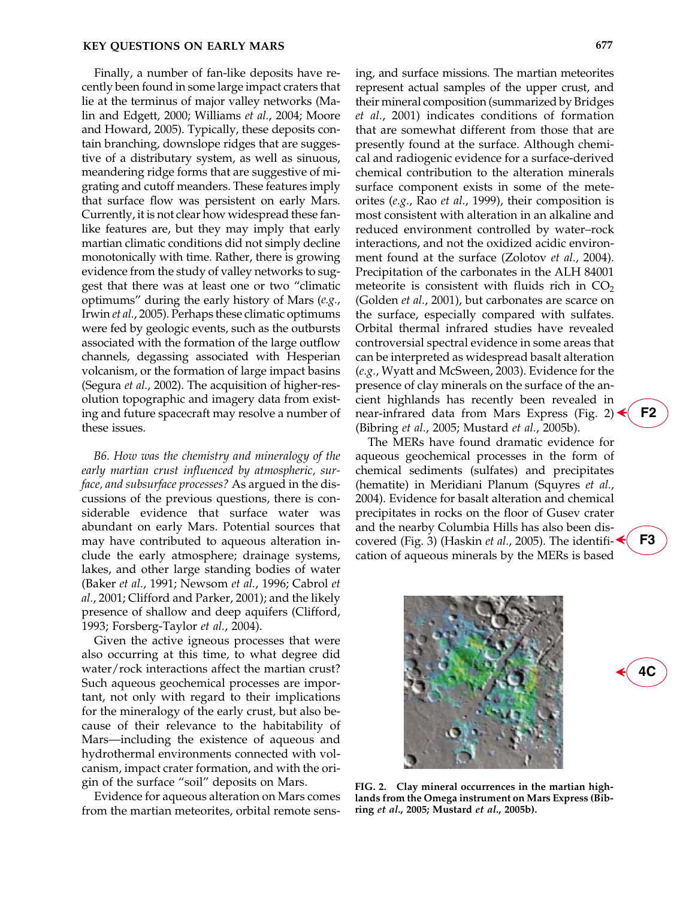Finally, a number of fan-like deposits have recently been found in some large impact craters that lie at the terminus of major valley networks (Malin and Edgett, 2000; Williams *et al.*, 2004; Moore and Howard, 2005). Typically, these deposits contain branching, downslope ridges that are suggestive of a distributary system, as well as sinuous, meandering ridge forms that are suggestive of migrating and cutoff meanders. These features imply that surface flow was persistent on early Mars. Currently, it is not clear how widespread these fanlike features are, but they may imply that early martian climatic conditions did not simply decline monotonically with time. Rather, there is growing evidence from the study of valley networks to suggest that there was at least one or two "climatic optimums" during the early history of Mars (*e.g.*, Irwin *et al.*, 2005). Perhaps these climatic optimums were fed by geologic events, such as the outbursts associated with the formation of the large outflow channels, degassing associated with Hesperian volcanism, or the formation of large impact basins (Segura *et al.*, 2002). The acquisition of higher-resolution topographic and imagery data from existing and future spacecraft may resolve a number of these issues.

*B6. How was the chemistry and mineralogy of the early martian crust influenced by atmospheric, surface, and subsurface processes?* As argued in the discussions of the previous questions, there is considerable evidence that surface water was abundant on early Mars. Potential sources that may have contributed to aqueous alteration include the early atmosphere; drainage systems, lakes, and other large standing bodies of water (Baker *et al.*, 1991; Newsom *et al.*, 1996; Cabrol *et al.*, 2001; Clifford and Parker, 2001); and the likely presence of shallow and deep aquifers (Clifford, 1993; Forsberg-Taylor *et al.*, 2004).

Given the active igneous processes that were also occurring at this time, to what degree did water/rock interactions affect the martian crust? Such aqueous geochemical processes are important, not only with regard to their implications for the mineralogy of the early crust, but also because of their relevance to the habitability of Mars—including the existence of aqueous and hydrothermal environments connected with volcanism, impact crater formation, and with the origin of the surface "soil" deposits on Mars.

Evidence for aqueous alteration on Mars comes from the martian meteorites, orbital remote sens-

ing, and surface missions. The martian meteorites represent actual samples of the upper crust, and their mineral composition (summarized by Bridges *et al.*, 2001) indicates conditions of formation that are somewhat different from those that are presently found at the surface. Although chemical and radiogenic evidence for a surface-derived chemical contribution to the alteration minerals surface component exists in some of the meteorites (*e.g.*, Rao *et al.*, 1999), their composition is most consistent with alteration in an alkaline and reduced environment controlled by water–rock interactions, and not the oxidized acidic environment found at the surface (Zolotov *et al.*, 2004). Precipitation of the carbonates in the ALH 84001 meteorite is consistent with fluids rich in  $CO<sub>2</sub>$ (Golden *et al.*, 2001), but carbonates are scarce on the surface, especially compared with sulfates. Orbital thermal infrared studies have revealed controversial spectral evidence in some areas that can be interpreted as widespread basalt alteration (*e.g.*, Wyatt and McSween, 2003). Evidence for the presence of clay minerals on the surface of the ancient highlands has recently been revealed in near-infrared data from Mars Express (Fig. 2)  $\blacktriangleleft$ (Bibring *et al.*, 2005; Mustard *et al.*, 2005b).

The MERs have found dramatic evidence for aqueous geochemical processes in the form of chemical sediments (sulfates) and precipitates (hematite) in Meridiani Planum (Squyres *et al.*, 2004). Evidence for basalt alteration and chemical precipitates in rocks on the floor of Gusev crater and the nearby Columbia Hills has also been discovered (Fig. 3) (Haskin *et al.*, 2005). The identifi cation of aqueous minerals by the MERs is based





**F2** -

**F3** -

**FIG. 2. Clay mineral occurrences in the martian highlands from the Omega instrument on Mars Express (Bibring** *et al***., 2005; Mustard** *et al***., 2005b).**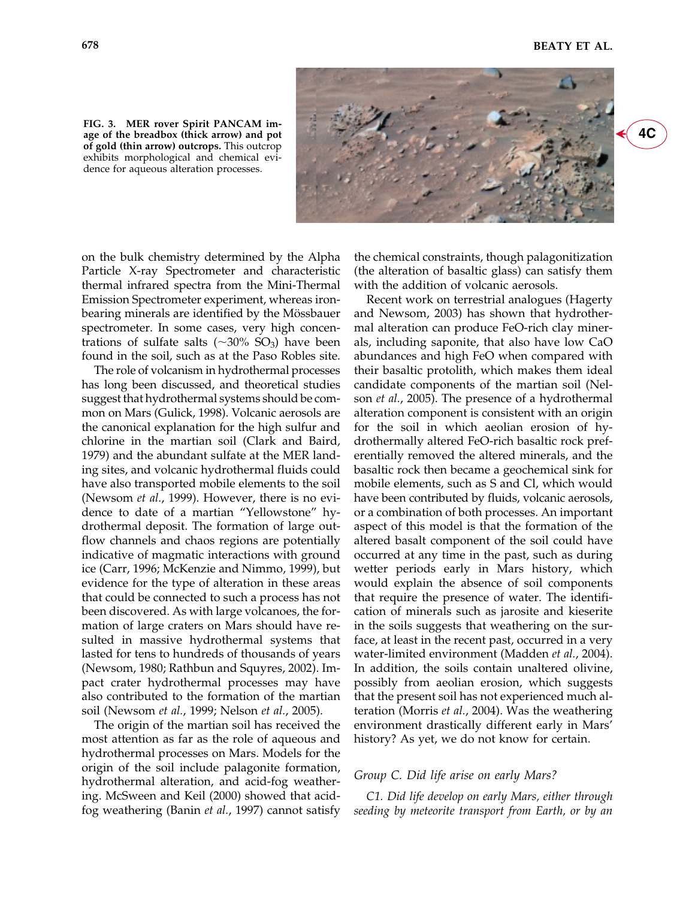**4C** -



**FIG. 3. MER rover Spirit PANCAM image of the breadbox (thick arrow) and pot of gold (thin arrow) outcrops.** This outcrop exhibits morphological and chemical evidence for aqueous alteration processes.

on the bulk chemistry determined by the Alpha Particle X-ray Spectrometer and characteristic thermal infrared spectra from the Mini-Thermal Emission Spectrometer experiment, whereas ironbearing minerals are identified by the Mössbauer spectrometer. In some cases, very high concentrations of sulfate salts  $(\sim 30\%$  SO<sub>3</sub>) have been found in the soil, such as at the Paso Robles site.

The role of volcanism in hydrothermal processes has long been discussed, and theoretical studies suggest that hydrothermal systems should be common on Mars (Gulick, 1998). Volcanic aerosols are the canonical explanation for the high sulfur and chlorine in the martian soil (Clark and Baird, 1979) and the abundant sulfate at the MER landing sites, and volcanic hydrothermal fluids could have also transported mobile elements to the soil (Newsom *et al.*, 1999). However, there is no evidence to date of a martian "Yellowstone" hydrothermal deposit. The formation of large outflow channels and chaos regions are potentially indicative of magmatic interactions with ground ice (Carr, 1996; McKenzie and Nimmo, 1999), but evidence for the type of alteration in these areas that could be connected to such a process has not been discovered. As with large volcanoes, the formation of large craters on Mars should have resulted in massive hydrothermal systems that lasted for tens to hundreds of thousands of years (Newsom, 1980; Rathbun and Squyres, 2002). Impact crater hydrothermal processes may have also contributed to the formation of the martian soil (Newsom *et al.*, 1999; Nelson *et al.*, 2005).

The origin of the martian soil has received the most attention as far as the role of aqueous and hydrothermal processes on Mars. Models for the origin of the soil include palagonite formation, hydrothermal alteration, and acid-fog weathering. McSween and Keil (2000) showed that acidfog weathering (Banin *et al.*, 1997) cannot satisfy the chemical constraints, though palagonitization (the alteration of basaltic glass) can satisfy them with the addition of volcanic aerosols.

Recent work on terrestrial analogues (Hagerty and Newsom, 2003) has shown that hydrothermal alteration can produce FeO-rich clay minerals, including saponite, that also have low CaO abundances and high FeO when compared with their basaltic protolith, which makes them ideal candidate components of the martian soil (Nelson *et al.*, 2005). The presence of a hydrothermal alteration component is consistent with an origin for the soil in which aeolian erosion of hydrothermally altered FeO-rich basaltic rock preferentially removed the altered minerals, and the basaltic rock then became a geochemical sink for mobile elements, such as S and Cl, which would have been contributed by fluids, volcanic aerosols, or a combination of both processes. An important aspect of this model is that the formation of the altered basalt component of the soil could have occurred at any time in the past, such as during wetter periods early in Mars history, which would explain the absence of soil components that require the presence of water. The identification of minerals such as jarosite and kieserite in the soils suggests that weathering on the surface, at least in the recent past, occurred in a very water-limited environment (Madden *et al.*, 2004). In addition, the soils contain unaltered olivine, possibly from aeolian erosion, which suggests that the present soil has not experienced much alteration (Morris *et al.*, 2004). Was the weathering environment drastically different early in Mars' history? As yet, we do not know for certain.

## *Group C. Did life arise on early Mars?*

*C1. Did life develop on early Mars, either through seeding by meteorite transport from Earth, or by an*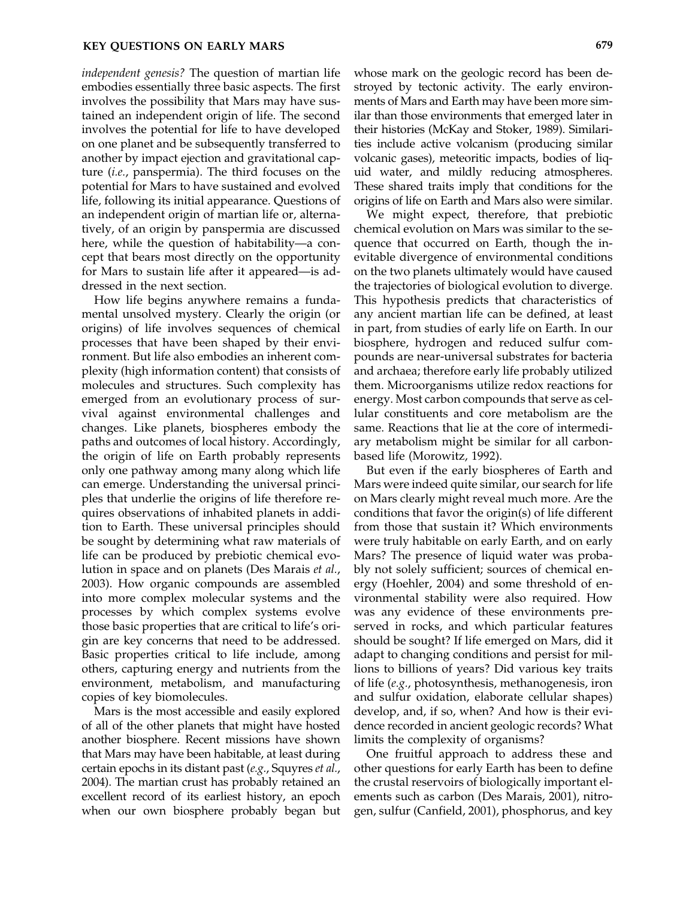*independent genesis?* The question of martian life embodies essentially three basic aspects. The first involves the possibility that Mars may have sustained an independent origin of life. The second involves the potential for life to have developed on one planet and be subsequently transferred to another by impact ejection and gravitational capture (*i.e.*, panspermia). The third focuses on the potential for Mars to have sustained and evolved life, following its initial appearance. Questions of an independent origin of martian life or, alternatively, of an origin by panspermia are discussed here, while the question of habitability—a concept that bears most directly on the opportunity for Mars to sustain life after it appeared—is addressed in the next section.

How life begins anywhere remains a fundamental unsolved mystery. Clearly the origin (or origins) of life involves sequences of chemical processes that have been shaped by their environment. But life also embodies an inherent complexity (high information content) that consists of molecules and structures. Such complexity has emerged from an evolutionary process of survival against environmental challenges and changes. Like planets, biospheres embody the paths and outcomes of local history. Accordingly, the origin of life on Earth probably represents only one pathway among many along which life can emerge. Understanding the universal principles that underlie the origins of life therefore requires observations of inhabited planets in addition to Earth. These universal principles should be sought by determining what raw materials of life can be produced by prebiotic chemical evolution in space and on planets (Des Marais *et al.*, 2003). How organic compounds are assembled into more complex molecular systems and the processes by which complex systems evolve those basic properties that are critical to life's origin are key concerns that need to be addressed. Basic properties critical to life include, among others, capturing energy and nutrients from the environment, metabolism, and manufacturing copies of key biomolecules.

Mars is the most accessible and easily explored of all of the other planets that might have hosted another biosphere. Recent missions have shown that Mars may have been habitable, at least during certain epochs in its distant past (*e.g.*, Squyres *et al.*, 2004). The martian crust has probably retained an excellent record of its earliest history, an epoch when our own biosphere probably began but whose mark on the geologic record has been destroyed by tectonic activity. The early environments of Mars and Earth may have been more similar than those environments that emerged later in their histories (McKay and Stoker, 1989). Similarities include active volcanism (producing similar volcanic gases), meteoritic impacts, bodies of liquid water, and mildly reducing atmospheres. These shared traits imply that conditions for the origins of life on Earth and Mars also were similar.

We might expect, therefore, that prebiotic chemical evolution on Mars was similar to the sequence that occurred on Earth, though the inevitable divergence of environmental conditions on the two planets ultimately would have caused the trajectories of biological evolution to diverge. This hypothesis predicts that characteristics of any ancient martian life can be defined, at least in part, from studies of early life on Earth. In our biosphere, hydrogen and reduced sulfur compounds are near-universal substrates for bacteria and archaea; therefore early life probably utilized them. Microorganisms utilize redox reactions for energy. Most carbon compounds that serve as cellular constituents and core metabolism are the same. Reactions that lie at the core of intermediary metabolism might be similar for all carbonbased life (Morowitz, 1992).

But even if the early biospheres of Earth and Mars were indeed quite similar, our search for life on Mars clearly might reveal much more. Are the conditions that favor the origin(s) of life different from those that sustain it? Which environments were truly habitable on early Earth, and on early Mars? The presence of liquid water was probably not solely sufficient; sources of chemical energy (Hoehler, 2004) and some threshold of environmental stability were also required. How was any evidence of these environments preserved in rocks, and which particular features should be sought? If life emerged on Mars, did it adapt to changing conditions and persist for millions to billions of years? Did various key traits of life (*e.g.*, photosynthesis, methanogenesis, iron and sulfur oxidation, elaborate cellular shapes) develop, and, if so, when? And how is their evidence recorded in ancient geologic records? What limits the complexity of organisms?

One fruitful approach to address these and other questions for early Earth has been to define the crustal reservoirs of biologically important elements such as carbon (Des Marais, 2001), nitrogen, sulfur (Canfield, 2001), phosphorus, and key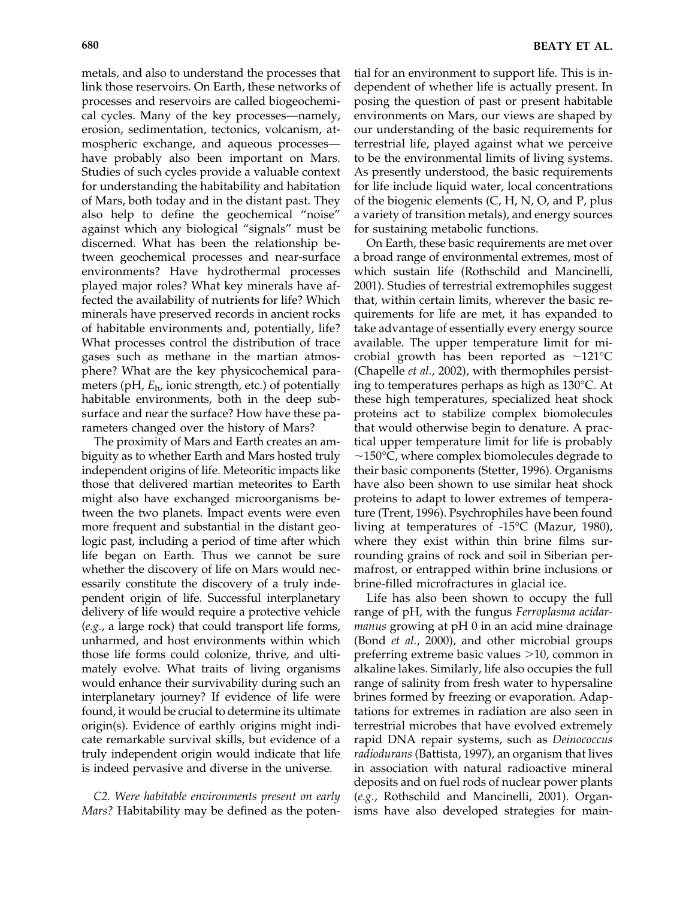metals, and also to understand the processes that link those reservoirs. On Earth, these networks of processes and reservoirs are called biogeochemical cycles. Many of the key processes—namely, erosion, sedimentation, tectonics, volcanism, atmospheric exchange, and aqueous processes have probably also been important on Mars. Studies of such cycles provide a valuable context for understanding the habitability and habitation of Mars, both today and in the distant past. They also help to define the geochemical "noise" against which any biological "signals" must be discerned. What has been the relationship between geochemical processes and near-surface environments? Have hydrothermal processes played major roles? What key minerals have affected the availability of nutrients for life? Which minerals have preserved records in ancient rocks of habitable environments and, potentially, life? What processes control the distribution of trace gases such as methane in the martian atmosphere? What are the key physicochemical parameters (pH, *E*h, ionic strength, etc.) of potentially habitable environments, both in the deep subsurface and near the surface? How have these parameters changed over the history of Mars?

The proximity of Mars and Earth creates an ambiguity as to whether Earth and Mars hosted truly independent origins of life. Meteoritic impacts like those that delivered martian meteorites to Earth might also have exchanged microorganisms between the two planets. Impact events were even more frequent and substantial in the distant geologic past, including a period of time after which life began on Earth. Thus we cannot be sure whether the discovery of life on Mars would necessarily constitute the discovery of a truly independent origin of life. Successful interplanetary delivery of life would require a protective vehicle (*e.g.*, a large rock) that could transport life forms, unharmed, and host environments within which those life forms could colonize, thrive, and ultimately evolve. What traits of living organisms would enhance their survivability during such an interplanetary journey? If evidence of life were found, it would be crucial to determine its ultimate origin(s). Evidence of earthly origins might indicate remarkable survival skills, but evidence of a truly independent origin would indicate that life is indeed pervasive and diverse in the universe.

*C2. Were habitable environments present on early Mars?* Habitability may be defined as the potential for an environment to support life. This is independent of whether life is actually present. In posing the question of past or present habitable environments on Mars, our views are shaped by our understanding of the basic requirements for terrestrial life, played against what we perceive to be the environmental limits of living systems. As presently understood, the basic requirements for life include liquid water, local concentrations of the biogenic elements (C, H, N, O, and P, plus a variety of transition metals), and energy sources for sustaining metabolic functions.

On Earth, these basic requirements are met over a broad range of environmental extremes, most of which sustain life (Rothschild and Mancinelli, 2001). Studies of terrestrial extremophiles suggest that, within certain limits, wherever the basic requirements for life are met, it has expanded to take advantage of essentially every energy source available. The upper temperature limit for microbial growth has been reported as  $\sim$ 121°C (Chapelle *et al.*, 2002), with thermophiles persisting to temperatures perhaps as high as 130°C. At these high temperatures, specialized heat shock proteins act to stabilize complex biomolecules that would otherwise begin to denature. A practical upper temperature limit for life is probably ~150°C, where complex biomolecules degrade to their basic components (Stetter, 1996). Organisms have also been shown to use similar heat shock proteins to adapt to lower extremes of temperature (Trent, 1996). Psychrophiles have been found living at temperatures of -15°C (Mazur, 1980), where they exist within thin brine films surrounding grains of rock and soil in Siberian permafrost, or entrapped within brine inclusions or brine-filled microfractures in glacial ice.

Life has also been shown to occupy the full range of pH, with the fungus *Ferroplasma acidarmanus* growing at pH 0 in an acid mine drainage (Bond *et al.*, 2000), and other microbial groups preferring extreme basic values  $>10$ , common in alkaline lakes. Similarly, life also occupies the full range of salinity from fresh water to hypersaline brines formed by freezing or evaporation. Adaptations for extremes in radiation are also seen in terrestrial microbes that have evolved extremely rapid DNA repair systems, such as *Deinococcus radiodurans* (Battista, 1997), an organism that lives in association with natural radioactive mineral deposits and on fuel rods of nuclear power plants (*e.g.*, Rothschild and Mancinelli, 2001). Organisms have also developed strategies for main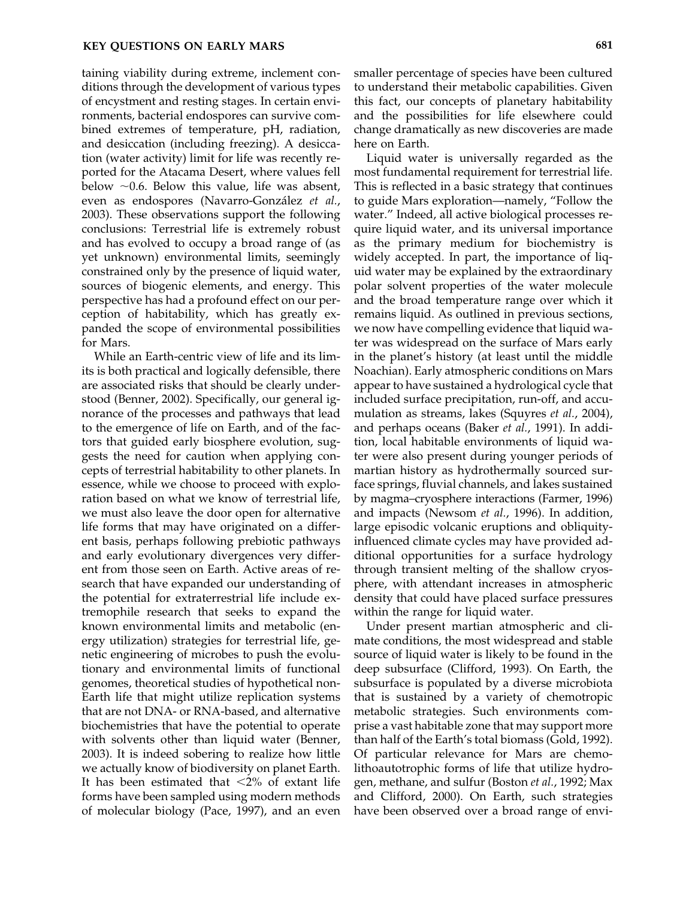taining viability during extreme, inclement conditions through the development of various types of encystment and resting stages. In certain environments, bacterial endospores can survive combined extremes of temperature, pH, radiation, and desiccation (including freezing). A desiccation (water activity) limit for life was recently reported for the Atacama Desert, where values fell below -0.6. Below this value, life was absent, even as endospores (Navarro-González *et al.*, 2003). These observations support the following conclusions: Terrestrial life is extremely robust and has evolved to occupy a broad range of (as yet unknown) environmental limits, seemingly constrained only by the presence of liquid water, sources of biogenic elements, and energy. This perspective has had a profound effect on our perception of habitability, which has greatly expanded the scope of environmental possibilities for Mars.

While an Earth-centric view of life and its limits is both practical and logically defensible, there are associated risks that should be clearly understood (Benner, 2002). Specifically, our general ignorance of the processes and pathways that lead to the emergence of life on Earth, and of the factors that guided early biosphere evolution, suggests the need for caution when applying concepts of terrestrial habitability to other planets. In essence, while we choose to proceed with exploration based on what we know of terrestrial life, we must also leave the door open for alternative life forms that may have originated on a different basis, perhaps following prebiotic pathways and early evolutionary divergences very different from those seen on Earth. Active areas of research that have expanded our understanding of the potential for extraterrestrial life include extremophile research that seeks to expand the known environmental limits and metabolic (energy utilization) strategies for terrestrial life, genetic engineering of microbes to push the evolutionary and environmental limits of functional genomes, theoretical studies of hypothetical non-Earth life that might utilize replication systems that are not DNA- or RNA-based, and alternative biochemistries that have the potential to operate with solvents other than liquid water (Benner, 2003). It is indeed sobering to realize how little we actually know of biodiversity on planet Earth. It has been estimated that  $\langle 2\%$  of extant life forms have been sampled using modern methods of molecular biology (Pace, 1997), and an even

smaller percentage of species have been cultured to understand their metabolic capabilities. Given this fact, our concepts of planetary habitability and the possibilities for life elsewhere could change dramatically as new discoveries are made here on Earth.

Liquid water is universally regarded as the most fundamental requirement for terrestrial life. This is reflected in a basic strategy that continues to guide Mars exploration—namely, "Follow the water." Indeed, all active biological processes require liquid water, and its universal importance as the primary medium for biochemistry is widely accepted. In part, the importance of liquid water may be explained by the extraordinary polar solvent properties of the water molecule and the broad temperature range over which it remains liquid. As outlined in previous sections, we now have compelling evidence that liquid water was widespread on the surface of Mars early in the planet's history (at least until the middle Noachian). Early atmospheric conditions on Mars appear to have sustained a hydrological cycle that included surface precipitation, run-off, and accumulation as streams, lakes (Squyres *et al.*, 2004), and perhaps oceans (Baker *et al.*, 1991). In addition, local habitable environments of liquid water were also present during younger periods of martian history as hydrothermally sourced surface springs, fluvial channels, and lakes sustained by magma–cryosphere interactions (Farmer, 1996) and impacts (Newsom *et al.*, 1996). In addition, large episodic volcanic eruptions and obliquityinfluenced climate cycles may have provided additional opportunities for a surface hydrology through transient melting of the shallow cryosphere, with attendant increases in atmospheric density that could have placed surface pressures within the range for liquid water.

Under present martian atmospheric and climate conditions, the most widespread and stable source of liquid water is likely to be found in the deep subsurface (Clifford, 1993). On Earth, the subsurface is populated by a diverse microbiota that is sustained by a variety of chemotropic metabolic strategies. Such environments comprise a vast habitable zone that may support more than half of the Earth's total biomass (Gold, 1992). Of particular relevance for Mars are chemolithoautotrophic forms of life that utilize hydrogen, methane, and sulfur (Boston *et al.*, 1992; Max and Clifford, 2000). On Earth, such strategies have been observed over a broad range of envi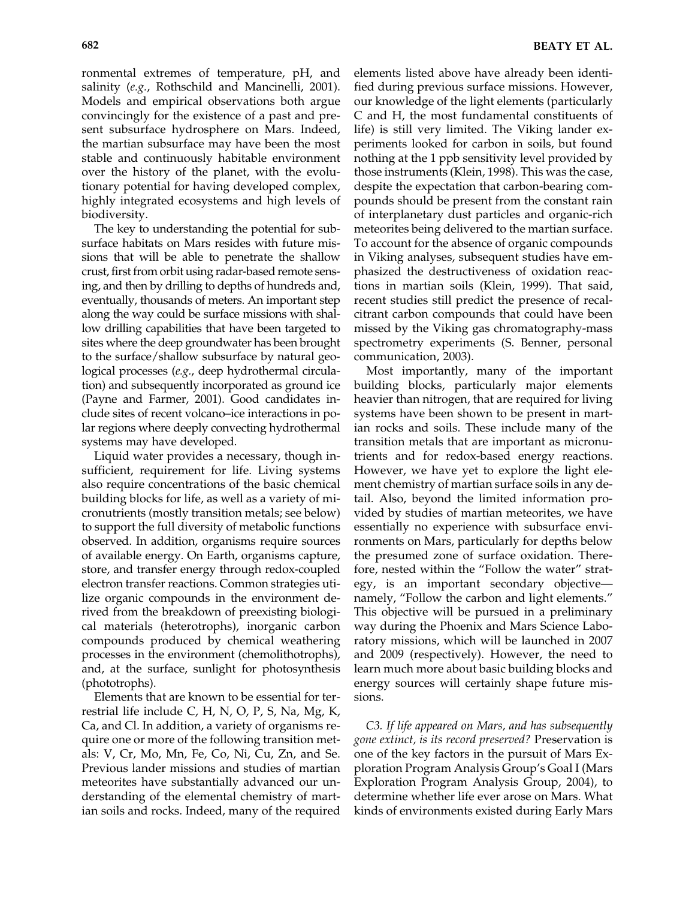ronmental extremes of temperature, pH, and salinity (e.g., Rothschild and Mancinelli, 2001). Models and empirical observations both argue convincingly for the existence of a past and present subsurface hydrosphere on Mars. Indeed, the martian subsurface may have been the most stable and continuously habitable environment over the history of the planet, with the evolutionary potential for having developed complex, highly integrated ecosystems and high levels of biodiversity.

The key to understanding the potential for subsurface habitats on Mars resides with future missions that will be able to penetrate the shallow crust, first from orbit using radar-based remote sensing, and then by drilling to depths of hundreds and, eventually, thousands of meters. An important step along the way could be surface missions with shallow drilling capabilities that have been targeted to sites where the deep groundwater has been brought to the surface/shallow subsurface by natural geological processes (*e.g.*, deep hydrothermal circulation) and subsequently incorporated as ground ice (Payne and Farmer, 2001). Good candidates include sites of recent volcano–ice interactions in polar regions where deeply convecting hydrothermal systems may have developed.

Liquid water provides a necessary, though insufficient, requirement for life. Living systems also require concentrations of the basic chemical building blocks for life, as well as a variety of micronutrients (mostly transition metals; see below) to support the full diversity of metabolic functions observed. In addition, organisms require sources of available energy. On Earth, organisms capture, store, and transfer energy through redox-coupled electron transfer reactions. Common strategies utilize organic compounds in the environment derived from the breakdown of preexisting biological materials (heterotrophs), inorganic carbon compounds produced by chemical weathering processes in the environment (chemolithotrophs), and, at the surface, sunlight for photosynthesis (phototrophs).

Elements that are known to be essential for terrestrial life include C, H, N, O, P, S, Na, Mg, K, Ca, and Cl. In addition, a variety of organisms require one or more of the following transition metals: V, Cr, Mo, Mn, Fe, Co, Ni, Cu, Zn, and Se. Previous lander missions and studies of martian meteorites have substantially advanced our understanding of the elemental chemistry of martian soils and rocks. Indeed, many of the required elements listed above have already been identified during previous surface missions. However, our knowledge of the light elements (particularly C and H, the most fundamental constituents of life) is still very limited. The Viking lander experiments looked for carbon in soils, but found nothing at the 1 ppb sensitivity level provided by those instruments (Klein, 1998). This was the case, despite the expectation that carbon-bearing compounds should be present from the constant rain of interplanetary dust particles and organic-rich meteorites being delivered to the martian surface. To account for the absence of organic compounds in Viking analyses, subsequent studies have emphasized the destructiveness of oxidation reactions in martian soils (Klein, 1999). That said, recent studies still predict the presence of recalcitrant carbon compounds that could have been missed by the Viking gas chromatography-mass spectrometry experiments (S. Benner, personal communication, 2003).

Most importantly, many of the important building blocks, particularly major elements heavier than nitrogen, that are required for living systems have been shown to be present in martian rocks and soils. These include many of the transition metals that are important as micronutrients and for redox-based energy reactions. However, we have yet to explore the light element chemistry of martian surface soils in any detail. Also, beyond the limited information provided by studies of martian meteorites, we have essentially no experience with subsurface environments on Mars, particularly for depths below the presumed zone of surface oxidation. Therefore, nested within the "Follow the water" strategy, is an important secondary objective namely, "Follow the carbon and light elements." This objective will be pursued in a preliminary way during the Phoenix and Mars Science Laboratory missions, which will be launched in 2007 and 2009 (respectively). However, the need to learn much more about basic building blocks and energy sources will certainly shape future missions.

*C3. If life appeared on Mars, and has subsequently gone extinct, is its record preserved?* Preservation is one of the key factors in the pursuit of Mars Exploration Program Analysis Group's Goal I (Mars Exploration Program Analysis Group, 2004), to determine whether life ever arose on Mars. What kinds of environments existed during Early Mars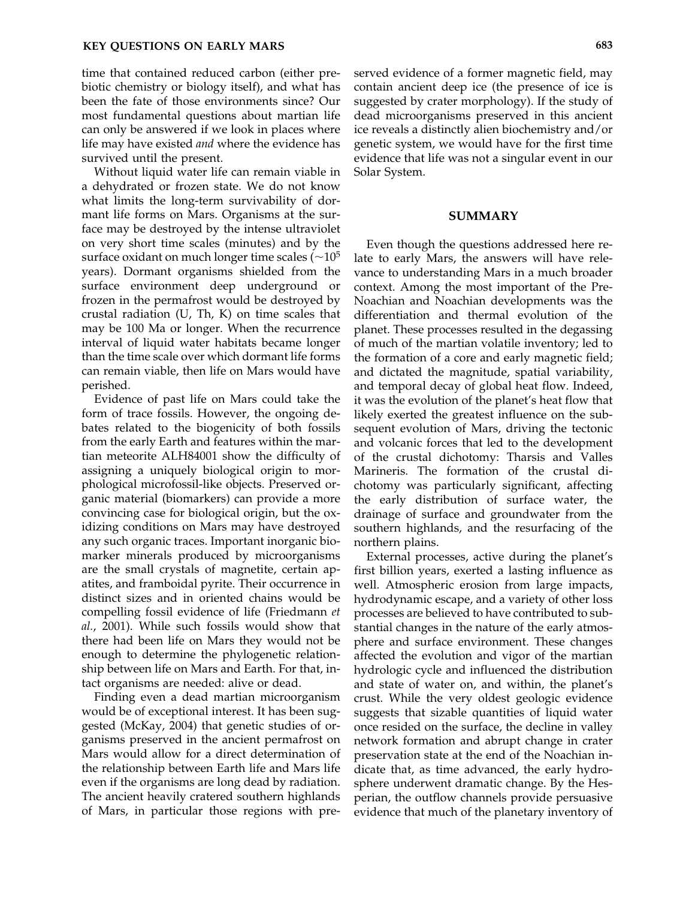time that contained reduced carbon (either prebiotic chemistry or biology itself), and what has been the fate of those environments since? Our most fundamental questions about martian life can only be answered if we look in places where life may have existed *and* where the evidence has survived until the present.

Without liquid water life can remain viable in a dehydrated or frozen state. We do not know what limits the long-term survivability of dormant life forms on Mars. Organisms at the surface may be destroyed by the intense ultraviolet on very short time scales (minutes) and by the surface oxidant on much longer time scales ( $\sim\!10^5$ years). Dormant organisms shielded from the surface environment deep underground or frozen in the permafrost would be destroyed by crustal radiation (U, Th, K) on time scales that may be 100 Ma or longer. When the recurrence interval of liquid water habitats became longer than the time scale over which dormant life forms can remain viable, then life on Mars would have perished.

Evidence of past life on Mars could take the form of trace fossils. However, the ongoing debates related to the biogenicity of both fossils from the early Earth and features within the martian meteorite ALH84001 show the difficulty of assigning a uniquely biological origin to morphological microfossil-like objects. Preserved organic material (biomarkers) can provide a more convincing case for biological origin, but the oxidizing conditions on Mars may have destroyed any such organic traces. Important inorganic biomarker minerals produced by microorganisms are the small crystals of magnetite, certain apatites, and framboidal pyrite. Their occurrence in distinct sizes and in oriented chains would be compelling fossil evidence of life (Friedmann *et al.*, 2001). While such fossils would show that there had been life on Mars they would not be enough to determine the phylogenetic relationship between life on Mars and Earth. For that, intact organisms are needed: alive or dead.

Finding even a dead martian microorganism would be of exceptional interest. It has been suggested (McKay, 2004) that genetic studies of organisms preserved in the ancient permafrost on Mars would allow for a direct determination of the relationship between Earth life and Mars life even if the organisms are long dead by radiation. The ancient heavily cratered southern highlands of Mars, in particular those regions with preserved evidence of a former magnetic field, may contain ancient deep ice (the presence of ice is suggested by crater morphology). If the study of dead microorganisms preserved in this ancient ice reveals a distinctly alien biochemistry and/or genetic system, we would have for the first time evidence that life was not a singular event in our Solar System.

#### **SUMMARY**

Even though the questions addressed here relate to early Mars, the answers will have relevance to understanding Mars in a much broader context. Among the most important of the Pre-Noachian and Noachian developments was the differentiation and thermal evolution of the planet. These processes resulted in the degassing of much of the martian volatile inventory; led to the formation of a core and early magnetic field; and dictated the magnitude, spatial variability, and temporal decay of global heat flow. Indeed, it was the evolution of the planet's heat flow that likely exerted the greatest influence on the subsequent evolution of Mars, driving the tectonic and volcanic forces that led to the development of the crustal dichotomy: Tharsis and Valles Marineris. The formation of the crustal dichotomy was particularly significant, affecting the early distribution of surface water, the drainage of surface and groundwater from the southern highlands, and the resurfacing of the northern plains.

External processes, active during the planet's first billion years, exerted a lasting influence as well. Atmospheric erosion from large impacts, hydrodynamic escape, and a variety of other loss processes are believed to have contributed to substantial changes in the nature of the early atmosphere and surface environment. These changes affected the evolution and vigor of the martian hydrologic cycle and influenced the distribution and state of water on, and within, the planet's crust. While the very oldest geologic evidence suggests that sizable quantities of liquid water once resided on the surface, the decline in valley network formation and abrupt change in crater preservation state at the end of the Noachian indicate that, as time advanced, the early hydrosphere underwent dramatic change. By the Hesperian, the outflow channels provide persuasive evidence that much of the planetary inventory of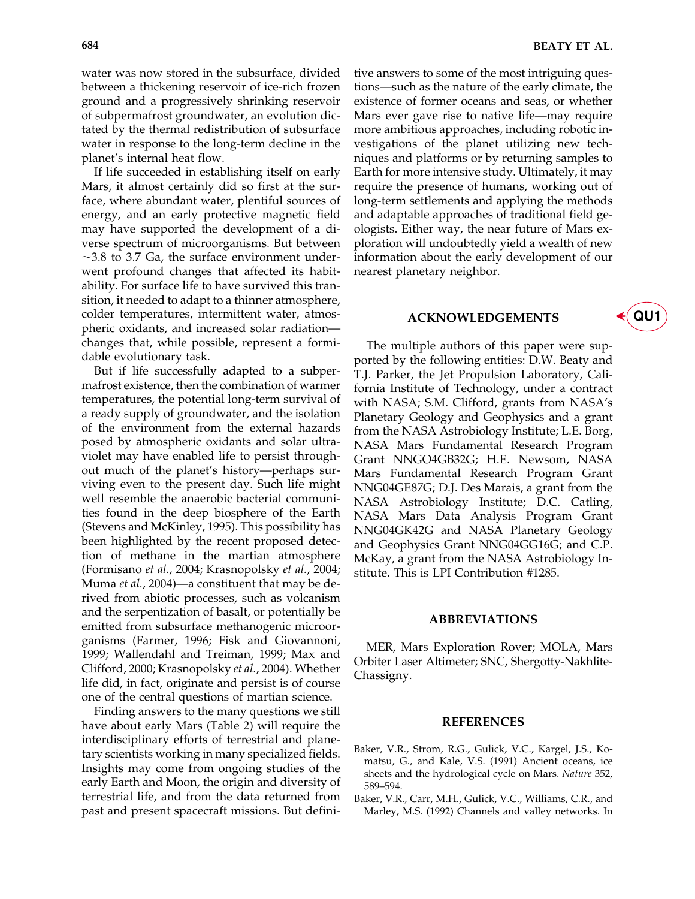**QU1** -

water was now stored in the subsurface, divided between a thickening reservoir of ice-rich frozen ground and a progressively shrinking reservoir of subpermafrost groundwater, an evolution dictated by the thermal redistribution of subsurface water in response to the long-term decline in the planet's internal heat flow.

If life succeeded in establishing itself on early Mars, it almost certainly did so first at the surface, where abundant water, plentiful sources of energy, and an early protective magnetic field may have supported the development of a diverse spectrum of microorganisms. But between  $\sim$ 3.8 to 3.7 Ga, the surface environment underwent profound changes that affected its habitability. For surface life to have survived this transition, it needed to adapt to a thinner atmosphere, colder temperatures, intermittent water, atmospheric oxidants, and increased solar radiation changes that, while possible, represent a formidable evolutionary task.

But if life successfully adapted to a subpermafrost existence, then the combination of warmer temperatures, the potential long-term survival of a ready supply of groundwater, and the isolation of the environment from the external hazards posed by atmospheric oxidants and solar ultraviolet may have enabled life to persist throughout much of the planet's history—perhaps surviving even to the present day. Such life might well resemble the anaerobic bacterial communities found in the deep biosphere of the Earth (Stevens and McKinley, 1995). This possibility has been highlighted by the recent proposed detection of methane in the martian atmosphere (Formisano *et al.*, 2004; Krasnopolsky *et al.*, 2004; Muma *et al.*, 2004)—a constituent that may be derived from abiotic processes, such as volcanism and the serpentization of basalt, or potentially be emitted from subsurface methanogenic microorganisms (Farmer, 1996; Fisk and Giovannoni, 1999; Wallendahl and Treiman, 1999; Max and Clifford, 2000; Krasnopolsky *et al.*, 2004). Whether life did, in fact, originate and persist is of course one of the central questions of martian science.

Finding answers to the many questions we still have about early Mars (Table 2) will require the interdisciplinary efforts of terrestrial and planetary scientists working in many specialized fields. Insights may come from ongoing studies of the early Earth and Moon, the origin and diversity of terrestrial life, and from the data returned from past and present spacecraft missions. But definitive answers to some of the most intriguing questions—such as the nature of the early climate, the existence of former oceans and seas, or whether Mars ever gave rise to native life—may require more ambitious approaches, including robotic investigations of the planet utilizing new techniques and platforms or by returning samples to Earth for more intensive study. Ultimately, it may require the presence of humans, working out of long-term settlements and applying the methods and adaptable approaches of traditional field geologists. Either way, the near future of Mars exploration will undoubtedly yield a wealth of new information about the early development of our nearest planetary neighbor.

### **ACKNOWLEDGEMENTS**

The multiple authors of this paper were supported by the following entities: D.W. Beaty and T.J. Parker, the Jet Propulsion Laboratory, California Institute of Technology, under a contract with NASA; S.M. Clifford, grants from NASA's Planetary Geology and Geophysics and a grant from the NASA Astrobiology Institute; L.E. Borg, NASA Mars Fundamental Research Program Grant NNGO4GB32G; H.E. Newsom, NASA Mars Fundamental Research Program Grant NNG04GE87G; D.J. Des Marais, a grant from the NASA Astrobiology Institute; D.C. Catling, NASA Mars Data Analysis Program Grant NNG04GK42G and NASA Planetary Geology and Geophysics Grant NNG04GG16G; and C.P. McKay, a grant from the NASA Astrobiology Institute. This is LPI Contribution #1285.

#### **ABBREVIATIONS**

MER, Mars Exploration Rover; MOLA, Mars Orbiter Laser Altimeter; SNC, Shergotty-Nakhlite-Chassigny.

#### **REFERENCES**

- Baker, V.R., Strom, R.G., Gulick, V.C., Kargel, J.S., Komatsu, G., and Kale, V.S. (1991) Ancient oceans, ice sheets and the hydrological cycle on Mars. *Nature* 352, 589–594.
- Baker, V.R., Carr, M.H., Gulick, V.C., Williams, C.R., and Marley, M.S. (1992) Channels and valley networks. In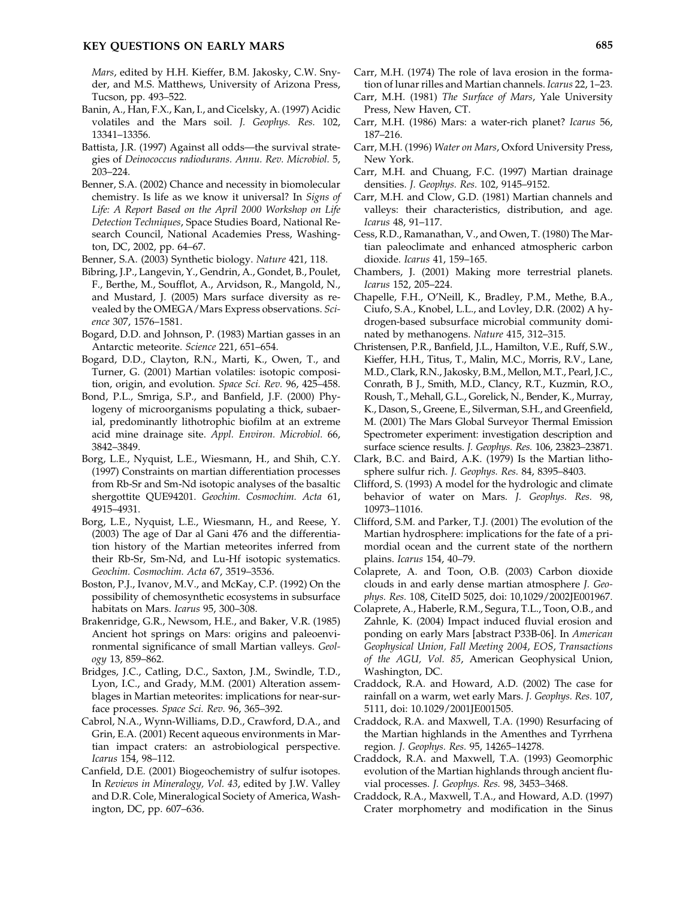## **KEY QUESTIONS ON EARLY MARS 685**

*Mars*, edited by H.H. Kieffer, B.M. Jakosky, C.W. Snyder, and M.S. Matthews, University of Arizona Press, Tucson, pp. 493–522.

- Banin, A., Han, F.X., Kan, I., and Cicelsky, A. (1997) Acidic volatiles and the Mars soil. *J. Geophys. Res.* 102, 13341–13356.
- Battista, J.R. (1997) Against all odds—the survival strategies of *Deinococcus radiodurans. Annu. Rev. Microbiol.* 5, 203–224.
- Benner, S.A. (2002) Chance and necessity in biomolecular chemistry. Is life as we know it universal? In *Signs of Life: A Report Based on the April 2000 Workshop on Life Detection Techniques*, Space Studies Board, National Research Council, National Academies Press, Washington, DC, 2002, pp. 64–67.
- Benner, S.A. (2003) Synthetic biology. *Nature* 421, 118.
- Bibring, J.P., Langevin, Y., Gendrin, A., Gondet, B., Poulet, F., Berthe, M., Soufflot, A., Arvidson, R., Mangold, N., and Mustard, J. (2005) Mars surface diversity as revealed by the OMEGA/Mars Express observations. *Science* 307, 1576–1581.
- Bogard, D.D. and Johnson, P. (1983) Martian gasses in an Antarctic meteorite. *Science* 221, 651–654.
- Bogard, D.D., Clayton, R.N., Marti, K., Owen, T., and Turner, G. (2001) Martian volatiles: isotopic composition, origin, and evolution. *Space Sci. Rev.* 96, 425–458.
- Bond, P.L., Smriga, S.P., and Banfield, J.F. (2000) Phylogeny of microorganisms populating a thick, subaerial, predominantly lithotrophic biofilm at an extreme acid mine drainage site. *Appl. Environ. Microbiol.* 66, 3842–3849.
- Borg, L.E., Nyquist, L.E., Wiesmann, H., and Shih, C.Y. (1997) Constraints on martian differentiation processes from Rb-Sr and Sm-Nd isotopic analyses of the basaltic shergottite QUE94201. *Geochim. Cosmochim. Acta* 61, 4915–4931.
- Borg, L.E., Nyquist, L.E., Wiesmann, H., and Reese, Y. (2003) The age of Dar al Gani 476 and the differentiation history of the Martian meteorites inferred from their Rb-Sr, Sm-Nd, and Lu-Hf isotopic systematics. *Geochim. Cosmochim. Acta* 67, 3519–3536.
- Boston, P.J., Ivanov, M.V., and McKay, C.P. (1992) On the possibility of chemosynthetic ecosystems in subsurface habitats on Mars. *Icarus* 95, 300–308.
- Brakenridge, G.R., Newsom, H.E., and Baker, V.R. (1985) Ancient hot springs on Mars: origins and paleoenvironmental significance of small Martian valleys. *Geology* 13, 859–862.
- Bridges, J.C., Catling, D.C., Saxton, J.M., Swindle, T.D., Lyon, I.C., and Grady, M.M. (2001) Alteration assemblages in Martian meteorites: implications for near-surface processes. *Space Sci. Rev.* 96, 365–392.
- Cabrol, N.A., Wynn-Williams, D.D., Crawford, D.A., and Grin, E.A. (2001) Recent aqueous environments in Martian impact craters: an astrobiological perspective. *Icarus* 154, 98–112.
- Canfield, D.E. (2001) Biogeochemistry of sulfur isotopes. In *Reviews in Mineralogy, Vol. 43*, edited by J.W. Valley and D.R. Cole, Mineralogical Society of America, Washington, DC, pp. 607–636.
- Carr, M.H. (1974) The role of lava erosion in the formation of lunar rilles and Martian channels. *Icarus* 22, 1–23.
- Carr, M.H. (1981) *The Surface of Mars*, Yale University Press, New Haven, CT.
- Carr, M.H. (1986) Mars: a water-rich planet? *Icarus* 56, 187–216.
- Carr, M.H. (1996) *Water on Mars*, Oxford University Press, New York.
- Carr, M.H. and Chuang, F.C. (1997) Martian drainage densities. *J. Geophys. Res.* 102, 9145–9152.
- Carr, M.H. and Clow, G.D. (1981) Martian channels and valleys: their characteristics, distribution, and age. *Icarus* 48, 91–117.
- Cess, R.D., Ramanathan, V., and Owen, T. (1980) The Martian paleoclimate and enhanced atmospheric carbon dioxide. *Icarus* 41, 159–165.
- Chambers, J. (2001) Making more terrestrial planets. *Icarus* 152, 205–224.
- Chapelle, F.H., O'Neill, K., Bradley, P.M., Methe, B.A., Ciufo, S.A., Knobel, L.L., and Lovley, D.R. (2002) A hydrogen-based subsurface microbial community dominated by methanogens. *Nature* 415, 312–315.
- Christensen, P.R., Banfield, J.L., Hamilton, V.E., Ruff, S.W., Kieffer, H.H., Titus, T., Malin, M.C., Morris, R.V., Lane, M.D., Clark, R.N., Jakosky, B.M., Mellon, M.T., Pearl, J.C., Conrath, B J., Smith, M.D., Clancy, R.T., Kuzmin, R.O., Roush, T., Mehall, G.L., Gorelick, N., Bender, K., Murray, K., Dason, S., Greene, E., Silverman, S.H., and Greenfield, M. (2001) The Mars Global Surveyor Thermal Emission Spectrometer experiment: investigation description and surface science results. *J. Geophys. Res.* 106, 23823–23871.
- Clark, B.C. and Baird, A.K. (1979) Is the Martian lithosphere sulfur rich. *J. Geophys. Res.* 84, 8395–8403.
- Clifford, S. (1993) A model for the hydrologic and climate behavior of water on Mars. *J. Geophys. Res.* 98, 10973–11016.
- Clifford, S.M. and Parker, T.J. (2001) The evolution of the Martian hydrosphere: implications for the fate of a primordial ocean and the current state of the northern plains. *Icarus* 154, 40–79.
- Colaprete, A. and Toon, O.B. (2003) Carbon dioxide clouds in and early dense martian atmosphere *J. Geophys. Res.* 108, CiteID 5025, doi: 10,1029/2002JE001967.
- Colaprete, A., Haberle, R.M., Segura, T.L., Toon, O.B., and Zahnle, K. (2004) Impact induced fluvial erosion and ponding on early Mars [abstract P33B-06]. In *American Geophysical Union, Fall Meeting 2004*, *EOS*, *Transactions of the AGU, Vol. 85*, American Geophysical Union, Washington, DC.
- Craddock, R.A. and Howard, A.D. (2002) The case for rainfall on a warm, wet early Mars. *J. Geophys. Res.* 107, 5111, doi: 10.1029/2001JE001505.
- Craddock, R.A. and Maxwell, T.A. (1990) Resurfacing of the Martian highlands in the Amenthes and Tyrrhena region. *J. Geophys. Res.* 95, 14265–14278.
- Craddock, R.A. and Maxwell, T.A. (1993) Geomorphic evolution of the Martian highlands through ancient fluvial processes. *J. Geophys. Res.* 98, 3453–3468.
- Craddock, R.A., Maxwell, T.A., and Howard, A.D. (1997) Crater morphometry and modification in the Sinus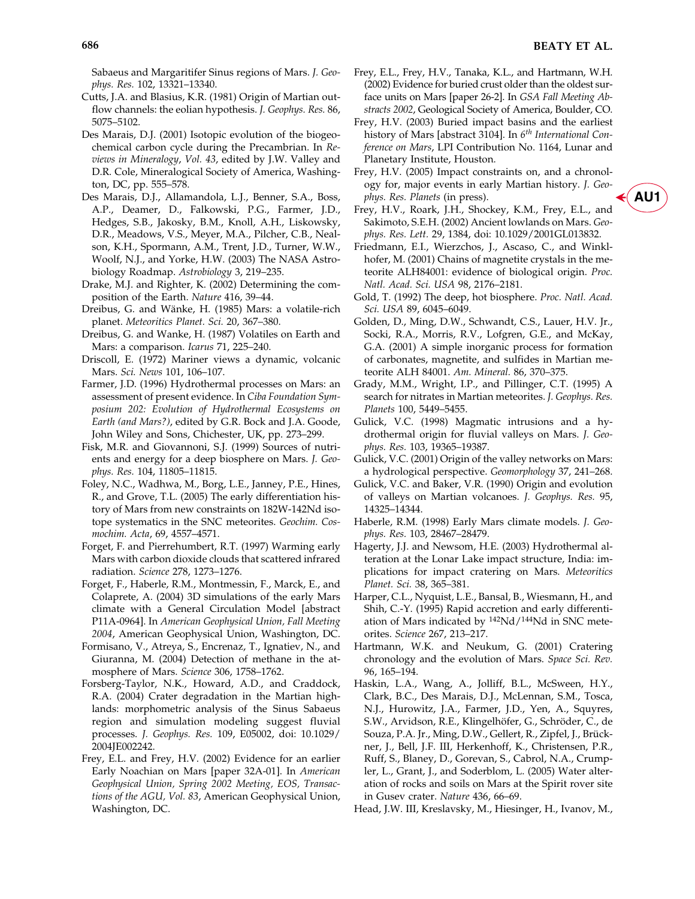Sabaeus and Margaritifer Sinus regions of Mars. *J. Geophys. Res.* 102, 13321–13340.

- Cutts, J.A. and Blasius, K.R. (1981) Origin of Martian outflow channels: the eolian hypothesis. *J. Geophys. Res.* 86, 5075–5102.
- Des Marais, D.J. (2001) Isotopic evolution of the biogeochemical carbon cycle during the Precambrian. In *Reviews in Mineralogy*, *Vol. 43*, edited by J.W. Valley and D.R. Cole, Mineralogical Society of America, Washington, DC, pp. 555–578.
- Des Marais, D.J., Allamandola, L.J., Benner, S.A., Boss, A.P., Deamer, D., Falkowski, P.G., Farmer, J.D., Hedges, S.B., Jakosky, B.M., Knoll, A.H., Liskowsky, D.R., Meadows, V.S., Meyer, M.A., Pilcher, C.B., Nealson, K.H., Spormann, A.M., Trent, J.D., Turner, W.W., Woolf, N.J., and Yorke, H.W. (2003) The NASA Astrobiology Roadmap. *Astrobiology* 3, 219–235.
- Drake, M.J. and Righter, K. (2002) Determining the composition of the Earth. *Nature* 416, 39–44.
- Dreibus, G. and Wänke, H. (1985) Mars: a volatile-rich planet. *Meteoritics Planet. Sci.* 20, 367–380.
- Dreibus, G. and Wanke, H. (1987) Volatiles on Earth and Mars: a comparison. *Icarus* 71, 225–240.
- Driscoll, E. (1972) Mariner views a dynamic, volcanic Mars. *Sci. News* 101, 106–107.
- Farmer, J.D. (1996) Hydrothermal processes on Mars: an assessment of present evidence. In *Ciba Foundation Symposium 202: Evolution of Hydrothermal Ecosystems on Earth (and Mars?)*, edited by G.R. Bock and J.A. Goode, John Wiley and Sons, Chichester, UK, pp. 273–299.
- Fisk, M.R. and Giovannoni, S.J. (1999) Sources of nutrients and energy for a deep biosphere on Mars. *J. Geophys. Res.* 104, 11805–11815.
- Foley, N.C., Wadhwa, M., Borg, L.E., Janney, P.E., Hines, R., and Grove, T.L. (2005) The early differentiation history of Mars from new constraints on 182W-142Nd isotope systematics in the SNC meteorites. *Geochim. Cosmochim. Acta*, 69, 4557–4571.
- Forget, F. and Pierrehumbert, R.T. (1997) Warming early Mars with carbon dioxide clouds that scattered infrared radiation. *Science* 278, 1273–1276.
- Forget, F., Haberle, R.M., Montmessin, F., Marck, E., and Colaprete, A. (2004) 3D simulations of the early Mars climate with a General Circulation Model [abstract P11A-0964]. In *American Geophysical Union, Fall Meeting 2004*, American Geophysical Union, Washington, DC.
- Formisano, V., Atreya, S., Encrenaz, T., Ignatiev, N., and Giuranna, M. (2004) Detection of methane in the atmosphere of Mars. *Science* 306, 1758–1762.
- Forsberg-Taylor, N.K., Howard, A.D., and Craddock, R.A. (2004) Crater degradation in the Martian highlands: morphometric analysis of the Sinus Sabaeus region and simulation modeling suggest fluvial processes. *J. Geophys. Res.* 109, E05002, doi: 10.1029/ 2004JE002242.
- Frey, E.L. and Frey, H.V. (2002) Evidence for an earlier Early Noachian on Mars [paper 32A-01]. In *American Geophysical Union, Spring 2002 Meeting, EOS, Transactions of the AGU, Vol. 83*, American Geophysical Union, Washington, DC.
- Frey, E.L., Frey, H.V., Tanaka, K.L., and Hartmann, W.H. (2002) Evidence for buried crust older than the oldest surface units on Mars [paper 26-2]. In *GSA Fall Meeting Abstracts 2002*, Geological Society of America, Boulder, CO.
- Frey, H.V. (2003) Buried impact basins and the earliest history of Mars [abstract 3104]. In *6th International Conference on Mars*, LPI Contribution No. 1164, Lunar and Planetary Institute, Houston.
- Frey, H.V. (2005) Impact constraints on, and a chronology for, major events in early Martian history. *J. Geophys. Res. Planets* (in press).
- Frey, H.V., Roark, J.H., Shockey, K.M., Frey, E.L., and Sakimoto, S.E.H. (2002) Ancient lowlands on Mars. *Geophys. Res. Lett.* 29, 1384, doi: 10.1029/2001GL013832.
- Friedmann, E.I., Wierzchos, J., Ascaso, C., and Winklhofer, M. (2001) Chains of magnetite crystals in the meteorite ALH84001: evidence of biological origin. *Proc. Natl. Acad. Sci. USA* 98, 2176–2181.
- Gold, T. (1992) The deep, hot biosphere. *Proc. Natl. Acad. Sci. USA* 89, 6045–6049.
- Golden, D., Ming, D.W., Schwandt, C.S., Lauer, H.V. Jr., Socki, R.A., Morris, R.V., Lofgren, G.E., and McKay, G.A. (2001) A simple inorganic process for formation of carbonates, magnetite, and sulfides in Martian meteorite ALH 84001. *Am. Mineral.* 86, 370–375.
- Grady, M.M., Wright, I.P., and Pillinger, C.T. (1995) A search for nitrates in Martian meteorites. *J. Geophys. Res. Planets* 100, 5449–5455.
- Gulick, V.C. (1998) Magmatic intrusions and a hydrothermal origin for fluvial valleys on Mars. *J. Geophys. Res.* 103, 19365–19387.
- Gulick, V.C. (2001) Origin of the valley networks on Mars: a hydrological perspective. *Geomorphology* 37, 241–268.
- Gulick, V.C. and Baker, V.R. (1990) Origin and evolution of valleys on Martian volcanoes. *J. Geophys. Res.* 95, 14325–14344.
- Haberle, R.M. (1998) Early Mars climate models. *J. Geophys. Res.* 103, 28467–28479.
- Hagerty, J.J. and Newsom, H.E. (2003) Hydrothermal alteration at the Lonar Lake impact structure, India: implications for impact cratering on Mars. *Meteoritics Planet. Sci.* 38, 365–381.
- Harper, C.L., Nyquist, L.E., Bansal, B., Wiesmann, H., and Shih, C.-Y. (1995) Rapid accretion and early differentiation of Mars indicated by  $142Nd/144Nd$  in SNC meteorites. *Science* 267, 213–217.
- Hartmann, W.K. and Neukum, G. (2001) Cratering chronology and the evolution of Mars. *Space Sci. Rev.* 96, 165–194.
- Haskin, L.A., Wang, A., Jolliff, B.L., McSween, H.Y., Clark, B.C., Des Marais, D.J., McLennan, S.M., Tosca, N.J., Hurowitz, J.A., Farmer, J.D., Yen, A., Squyres, S.W., Arvidson, R.E., Klingelhöfer, G., Schröder, C., de Souza, P.A. Jr., Ming, D.W., Gellert, R., Zipfel, J., Brückner, J., Bell, J.F. III, Herkenhoff, K., Christensen, P.R., Ruff, S., Blaney, D., Gorevan, S., Cabrol, N.A., Crumpler, L., Grant, J., and Soderblom, L. (2005) Water alteration of rocks and soils on Mars at the Spirit rover site in Gusev crater. *Nature* 436, 66–69.
- Head, J.W. III, Kreslavsky, M., Hiesinger, H., Ivanov, M.,

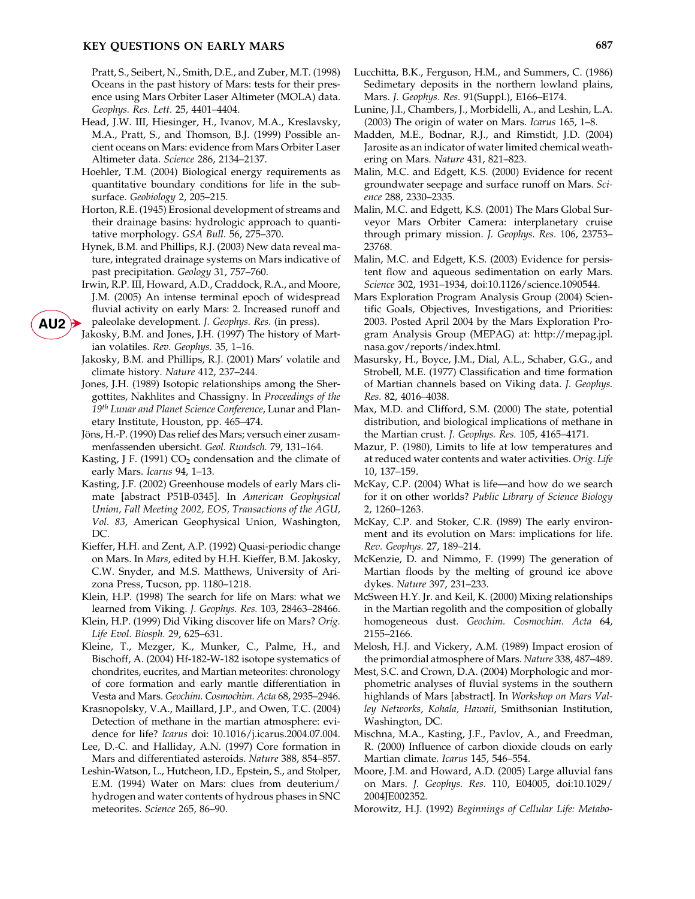## **KEY QUESTIONS ON EARLY MARS 687**

Pratt, S., Seibert, N., Smith, D.E., and Zuber, M.T. (1998) Oceans in the past history of Mars: tests for their presence using Mars Orbiter Laser Altimeter (MOLA) data. *Geophys. Res. Lett.* 25, 4401–4404.

- Head, J.W. III, Hiesinger, H., Ivanov, M.A., Kreslavsky, M.A., Pratt, S., and Thomson, B.J. (1999) Possible ancient oceans on Mars: evidence from Mars Orbiter Laser Altimeter data. *Science* 286, 2134–2137.
- Hoehler, T.M. (2004) Biological energy requirements as quantitative boundary conditions for life in the subsurface. *Geobiology* 2, 205–215.
- Horton, R.E. (1945) Erosional development of streams and their drainage basins: hydrologic approach to quantitative morphology. *GSA Bull.* 56, 275–370.
- Hynek, B.M. and Phillips, R.J. (2003) New data reveal mature, integrated drainage systems on Mars indicative of past precipitation. *Geology* 31, 757–760.
- Irwin, R.P. III, Howard, A.D., Craddock, R.A., and Moore, J.M. (2005) An intense terminal epoch of widespread fluvial activity on early Mars: 2. Increased runoff and paleolake development. *J. Geophys. Res.* (in press).
- Jakosky, B.M. and Jones, J.H. (1997) The history of Martian volatiles. *Rev. Geophys.* 35, 1–16. **AU2**
	- Jakosky, B.M. and Phillips, R.J. (2001) Mars' volatile and climate history. *Nature* 412, 237–244.
	- Jones, J.H. (1989) Isotopic relationships among the Shergottites, Nakhlites and Chassigny. In *Proceedings of the 19th Lunar and Planet Science Conference*, Lunar and Planetary Institute, Houston, pp. 465–474.
	- Jöns, H.-P. (1990) Das relief des Mars; versuch einer zusammenfassenden ubersicht. *Geol. Rundsch.* 79, 131–164.
	- Kasting, J F. (1991)  $CO<sub>2</sub>$  condensation and the climate of early Mars. *Icarus* 94, 1–13.
	- Kasting, J.F. (2002) Greenhouse models of early Mars climate [abstract P51B-0345]. In *American Geophysical Union, Fall Meeting 2002, EOS, Transactions of the AGU, Vol. 83*, American Geophysical Union, Washington, DC.
	- Kieffer, H.H. and Zent, A.P. (1992) Quasi-periodic change on Mars. In *Mars*, edited by H.H. Kieffer, B.M. Jakosky, C.W. Snyder, and M.S. Matthews, University of Arizona Press, Tucson, pp. 1180–1218.
	- Klein, H.P. (1998) The search for life on Mars: what we learned from Viking. *J. Geophys. Res.* 103, 28463–28466.
	- Klein, H.P. (1999) Did Viking discover life on Mars? *Orig. Life Evol. Biosph.* 29, 625–631.
	- Kleine, T., Mezger, K., Munker, C., Palme, H., and Bischoff, A. (2004) Hf-182-W-182 isotope systematics of chondrites, eucrites, and Martian meteorites: chronology of core formation and early mantle differentiation in Vesta and Mars. *Geochim. Cosmochim. Acta* 68, 2935–2946.
	- Krasnopolsky, V.A., Maillard, J.P., and Owen, T.C. (2004) Detection of methane in the martian atmosphere: evidence for life? *Icarus* doi: 10.1016/j.icarus.2004.07.004.
	- Lee, D.-C. and Halliday, A.N. (1997) Core formation in Mars and differentiated asteroids. *Nature* 388, 854–857.
	- Leshin-Watson, L., Hutcheon, I.D., Epstein, S., and Stolper, E.M. (1994) Water on Mars: clues from deuterium/ hydrogen and water contents of hydrous phases in SNC meteorites. *Science* 265, 86–90.
- Lucchitta, B.K., Ferguson, H.M., and Summers, C. (1986) Sedimetary deposits in the northern lowland plains, Mars. *J. Geophys. Res.* 91(Suppl.), E166–E174.
- Lunine, J.I., Chambers, J., Morbidelli, A., and Leshin, L.A. (2003) The origin of water on Mars. *Icarus* 165, 1–8.
- Madden, M.E., Bodnar, R.J., and Rimstidt, J.D. (2004) Jarosite as an indicator of water limited chemical weathering on Mars. *Nature* 431, 821–823.
- Malin, M.C. and Edgett, K.S. (2000) Evidence for recent groundwater seepage and surface runoff on Mars. *Science* 288, 2330–2335.
- Malin, M.C. and Edgett, K.S. (2001) The Mars Global Surveyor Mars Orbiter Camera: interplanetary cruise through primary mission. *J. Geophys. Res.* 106, 23753– 23768.
- Malin, M.C. and Edgett, K.S. (2003) Evidence for persistent flow and aqueous sedimentation on early Mars. *Science* 302, 1931–1934, doi:10.1126/science.1090544.
- Mars Exploration Program Analysis Group (2004) Scientific Goals, Objectives, Investigations, and Priorities: 2003. Posted April 2004 by the Mars Exploration Program Analysis Group (MEPAG) at: http://mepag.jpl. nasa.gov/reports/index.html.
- Masursky, H., Boyce, J.M., Dial, A.L., Schaber, G.G., and Strobell, M.E. (1977) Classification and time formation of Martian channels based on Viking data. *J. Geophys. Res.* 82, 4016–4038.
- Max, M.D. and Clifford, S.M. (2000) The state, potential distribution, and biological implications of methane in the Martian crust. *J. Geophys. Res.* 105, 4165–4171.
- Mazur, P. (1980), Limits to life at low temperatures and at reduced water contents and water activities. *Orig. Life* 10, 137–159.
- McKay, C.P. (2004) What is life—and how do we search for it on other worlds? *Public Library of Science Biology* 2, 1260–1263.
- McKay, C.P. and Stoker, C.R. (l989) The early environment and its evolution on Mars: implications for life. *Rev. Geophys.* 27, 189–214.
- McKenzie, D. and Nimmo, F. (1999) The generation of Martian floods by the melting of ground ice above dykes. *Nature* 397, 231–233.
- McSween H.Y. Jr. and Keil, K. (2000) Mixing relationships in the Martian regolith and the composition of globally homogeneous dust. *Geochim. Cosmochim. Acta* 64, 2155–2166.
- Melosh, H.J. and Vickery, A.M. (1989) Impact erosion of the primordial atmosphere of Mars. *Nature* 338, 487–489.
- Mest, S.C. and Crown, D.A. (2004) Morphologic and morphometric analyses of fluvial systems in the southern highlands of Mars [abstract]. In *Workshop on Mars Valley Networks*, *Kohala, Hawaii*, Smithsonian Institution, Washington, DC.
- Mischna, M.A., Kasting, J.F., Pavlov, A., and Freedman, R. (2000) Influence of carbon dioxide clouds on early Martian climate. *Icarus* 145, 546–554.
- Moore, J.M. and Howard, A.D. (2005) Large alluvial fans on Mars. *J. Geophys. Res.* 110, E04005, doi:10.1029/ 2004JE002352.
- Morowitz, H.J. (1992) *Beginnings of Cellular Life: Metabo-*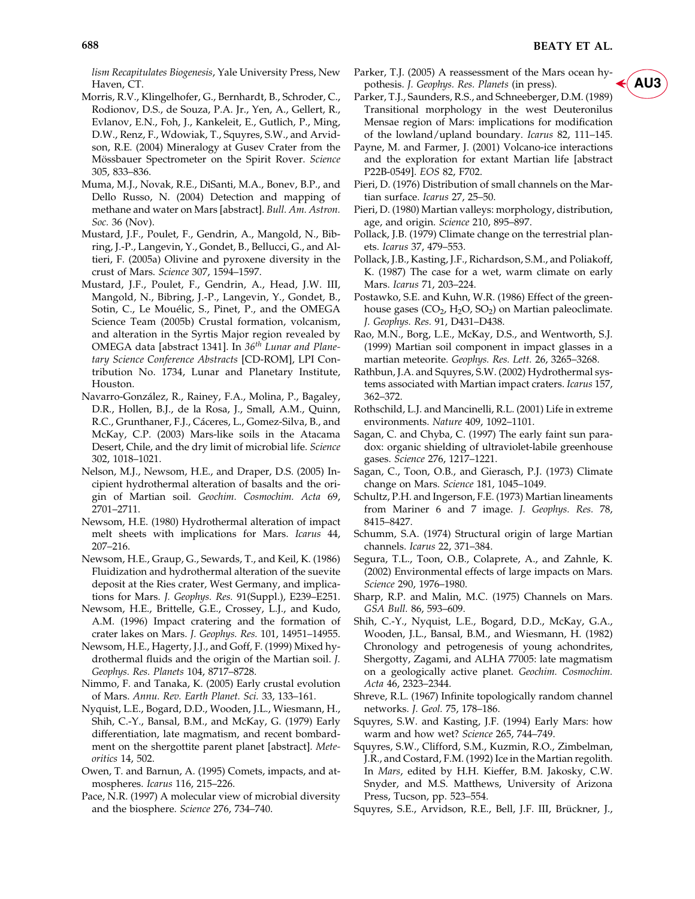*lism Recapitulates Biogenesis*, Yale University Press, New Haven, CT.

- Morris, R.V., Klingelhofer, G., Bernhardt, B., Schroder, C., Rodionov, D.S., de Souza, P.A. Jr., Yen, A., Gellert, R., Evlanov, E.N., Foh, J., Kankeleit, E., Gutlich, P., Ming, D.W., Renz, F., Wdowiak, T., Squyres, S.W., and Arvidson, R.E. (2004) Mineralogy at Gusev Crater from the Mössbauer Spectrometer on the Spirit Rover. *Science* 305, 833–836.
- Muma, M.J., Novak, R.E., DiSanti, M.A., Bonev, B.P., and Dello Russo, N. (2004) Detection and mapping of methane and water on Mars [abstract]. *Bull. Am. Astron. Soc.* 36 (Nov).
- Mustard, J.F., Poulet, F., Gendrin, A., Mangold, N., Bibring, J.-P., Langevin, Y., Gondet, B., Bellucci, G., and Altieri, F. (2005a) Olivine and pyroxene diversity in the crust of Mars. *Science* 307, 1594–1597.
- Mustard, J.F., Poulet, F., Gendrin, A., Head, J.W. III, Mangold, N., Bibring, J.-P., Langevin, Y., Gondet, B., Sotin, C., Le Mouélic, S., Pinet, P., and the OMEGA Science Team (2005b) Crustal formation, volcanism, and alteration in the Syrtis Major region revealed by OMEGA data [abstract 1341]. In *36th Lunar and Planetary Science Conference Abstracts* [CD-ROM], LPI Contribution No. 1734, Lunar and Planetary Institute, Houston.
- Navarro-González, R., Rainey, F.A., Molina, P., Bagaley, D.R., Hollen, B.J., de la Rosa, J., Small, A.M., Quinn, R.C., Grunthaner, F.J., Cáceres, L., Gomez-Silva, B., and McKay, C.P. (2003) Mars-like soils in the Atacama Desert, Chile, and the dry limit of microbial life. *Science* 302, 1018–1021.
- Nelson, M.J., Newsom, H.E., and Draper, D.S. (2005) Incipient hydrothermal alteration of basalts and the origin of Martian soil. *Geochim. Cosmochim. Acta* 69, 2701–2711.
- Newsom, H.E. (1980) Hydrothermal alteration of impact melt sheets with implications for Mars. *Icarus* 44, 207–216.
- Newsom, H.E., Graup, G., Sewards, T., and Keil, K. (1986) Fluidization and hydrothermal alteration of the suevite deposit at the Ries crater, West Germany, and implications for Mars. *J. Geophys. Res.* 91(Suppl.), E239–E251.
- Newsom, H.E., Brittelle, G.E., Crossey, L.J., and Kudo, A.M. (1996) Impact cratering and the formation of crater lakes on Mars. *J. Geophys. Res.* 101, 14951–14955.
- Newsom, H.E., Hagerty, J.J., and Goff, F. (1999) Mixed hydrothermal fluids and the origin of the Martian soil. *J. Geophys. Res. Planets* 104, 8717–8728.
- Nimmo, F. and Tanaka, K. (2005) Early crustal evolution of Mars. *Annu. Rev. Earth Planet. Sci.* 33, 133–161.
- Nyquist, L.E., Bogard, D.D., Wooden, J.L., Wiesmann, H., Shih, C.-Y., Bansal, B.M., and McKay, G. (1979) Early differentiation, late magmatism, and recent bombardment on the shergottite parent planet [abstract]. *Meteoritics* 14, 502.
- Owen, T. and Barnun, A. (1995) Comets, impacts, and atmospheres. *Icarus* 116, 215–226.
- Pace, N.R. (1997) A molecular view of microbial diversity and the biosphere. *Science* 276, 734–740.
- Parker, T.J. (2005) A reassessment of the Mars ocean hypothesis. *J. Geophys. Res. Planets* (in press).
- Parker, T.J., Saunders, R.S., and Schneeberger, D.M. (1989) Transitional morphology in the west Deuteronilus Mensae region of Mars: implications for modification of the lowland/upland boundary. *Icarus* 82, 111–145.
- Payne, M. and Farmer, J. (2001) Volcano-ice interactions and the exploration for extant Martian life [abstract P22B-0549]. *EOS* 82, F702.
- Pieri, D. (1976) Distribution of small channels on the Martian surface. *Icarus* 27, 25–50.
- Pieri, D. (1980) Martian valleys: morphology, distribution, age, and origin. *Science* 210, 895–897.
- Pollack, J.B. (1979) Climate change on the terrestrial planets. *Icarus* 37, 479–553.
- Pollack, J.B., Kasting, J.F., Richardson, S.M., and Poliakoff, K. (1987) The case for a wet, warm climate on early Mars. *Icarus* 71, 203–224.
- Postawko, S.E. and Kuhn, W.R. (1986) Effect of the greenhouse gases  $(CO_2, H_2O, SO_2)$  on Martian paleoclimate. *J. Geophys. Res.* 91, D431–D438.
- Rao, M.N., Borg, L.E., McKay, D.S., and Wentworth, S.J. (1999) Martian soil component in impact glasses in a martian meteorite. *Geophys. Res. Lett.* 26, 3265–3268.
- Rathbun, J.A. and Squyres, S.W. (2002) Hydrothermal systems associated with Martian impact craters. *Icarus* 157, 362–372.
- Rothschild, L.J. and Mancinelli, R.L. (2001) Life in extreme environments. *Nature* 409, 1092–1101.
- Sagan, C. and Chyba, C. (1997) The early faint sun paradox: organic shielding of ultraviolet-labile greenhouse gases. *Science* 276, 1217–1221.
- Sagan, C., Toon, O.B., and Gierasch, P.J. (1973) Climate change on Mars. *Science* 181, 1045–1049.
- Schultz, P.H. and Ingerson, F.E. (1973) Martian lineaments from Mariner 6 and 7 image. *J. Geophys. Res.* 78, 8415–8427.
- Schumm, S.A. (1974) Structural origin of large Martian channels. *Icarus* 22, 371–384.
- Segura, T.L., Toon, O.B., Colaprete, A., and Zahnle, K. (2002) Environmental effects of large impacts on Mars. *Science* 290, 1976–1980.
- Sharp, R.P. and Malin, M.C. (1975) Channels on Mars. *GSA Bull.* 86, 593–609.
- Shih, C.-Y., Nyquist, L.E., Bogard, D.D., McKay, G.A., Wooden, J.L., Bansal, B.M., and Wiesmann, H. (1982) Chronology and petrogenesis of young achondrites, Shergotty, Zagami, and ALHA 77005: late magmatism on a geologically active planet. *Geochim. Cosmochim. Acta* 46, 2323–2344.
- Shreve, R.L. (1967) Infinite topologically random channel networks. *J. Geol.* 75, 178–186.
- Squyres, S.W. and Kasting, J.F. (1994) Early Mars: how warm and how wet? *Science* 265, 744–749.
- Squyres, S.W., Clifford, S.M., Kuzmin, R.O., Zimbelman, J.R., and Costard, F.M. (1992) Ice in the Martian regolith. In *Mars*, edited by H.H. Kieffer, B.M. Jakosky, C.W. Snyder, and M.S. Matthews, University of Arizona Press, Tucson, pp. 523–554.
- Squyres, S.E., Arvidson, R.E., Bell, J.F. III, Brückner, J.,

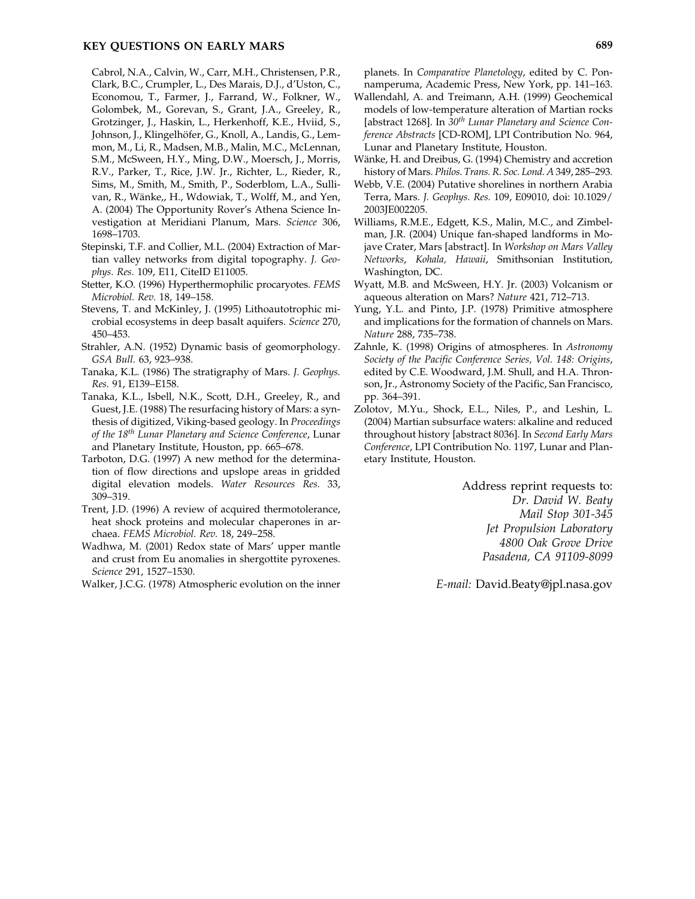## **KEY QUESTIONS ON EARLY MARS 689**

Cabrol, N.A., Calvin, W., Carr, M.H., Christensen, P.R., Clark, B.C., Crumpler, L., Des Marais, D.J., d'Uston, C., Economou, T., Farmer, J., Farrand, W., Folkner, W., Golombek, M., Gorevan, S., Grant, J.A., Greeley, R., Grotzinger, J., Haskin, L., Herkenhoff, K.E., Hviid, S., Johnson, J., Klingelhöfer, G., Knoll, A., Landis, G., Lemmon, M., Li, R., Madsen, M.B., Malin, M.C., McLennan, S.M., McSween, H.Y., Ming, D.W., Moersch, J., Morris, R.V., Parker, T., Rice, J.W. Jr., Richter, L., Rieder, R., Sims, M., Smith, M., Smith, P., Soderblom, L.A., Sullivan, R., Wänke,, H., Wdowiak, T., Wolff, M., and Yen, A. (2004) The Opportunity Rover's Athena Science Investigation at Meridiani Planum, Mars. *Science* 306, 1698–1703.

- Stepinski, T.F. and Collier, M.L. (2004) Extraction of Martian valley networks from digital topography. *J. Geophys. Res.* 109, E11, CiteID E11005.
- Stetter, K.O. (1996) Hyperthermophilic procaryotes. *FEMS Microbiol. Rev.* 18, 149–158.
- Stevens, T. and McKinley, J. (1995) Lithoautotrophic microbial ecosystems in deep basalt aquifers. *Science* 270, 450–453.
- Strahler, A.N. (1952) Dynamic basis of geomorphology. *GSA Bull.* 63, 923–938.
- Tanaka, K.L. (1986) The stratigraphy of Mars. *J. Geophys. Res.* 91, E139–E158.
- Tanaka, K.L., Isbell, N.K., Scott, D.H., Greeley, R., and Guest, J.E. (1988) The resurfacing history of Mars: a synthesis of digitized, Viking-based geology. In *Proceedings of the 18th Lunar Planetary and Science Conference*, Lunar and Planetary Institute, Houston, pp. 665–678.
- Tarboton, D.G. (1997) A new method for the determination of flow directions and upslope areas in gridded digital elevation models. *Water Resources Res.* 33, 309–319.
- Trent, J.D. (1996) A review of acquired thermotolerance, heat shock proteins and molecular chaperones in archaea. *FEMS Microbiol. Rev.* 18, 249–258.
- Wadhwa, M. (2001) Redox state of Mars' upper mantle and crust from Eu anomalies in shergottite pyroxenes. *Science* 291, 1527–1530.
- Walker, J.C.G. (1978) Atmospheric evolution on the inner

planets. In *Comparative Planetology*, edited by C. Ponnamperuma, Academic Press, New York, pp. 141–163.

- Wallendahl, A. and Treimann, A.H. (1999) Geochemical models of low-temperature alteration of Martian rocks [abstract 1268]. In *30th Lunar Planetary and Science Conference Abstracts* [CD-ROM], LPI Contribution No. 964, Lunar and Planetary Institute, Houston.
- Wänke, H. and Dreibus, G. (1994) Chemistry and accretion history of Mars. *Philos. Trans. R. Soc. Lond. A* 349, 285–293.
- Webb, V.E. (2004) Putative shorelines in northern Arabia Terra, Mars. *J. Geophys. Res.* 109, E09010, doi: 10.1029/ 2003JE002205.
- Williams, R.M.E., Edgett, K.S., Malin, M.C., and Zimbelman, J.R. (2004) Unique fan-shaped landforms in Mojave Crater, Mars [abstract]. In *Workshop on Mars Valley Networks*, *Kohala, Hawaii*, Smithsonian Institution, Washington, DC.
- Wyatt, M.B. and McSween, H.Y. Jr. (2003) Volcanism or aqueous alteration on Mars? *Nature* 421, 712–713.
- Yung, Y.L. and Pinto, J.P. (1978) Primitive atmosphere and implications for the formation of channels on Mars. *Nature* 288, 735–738.
- Zahnle, K. (1998) Origins of atmospheres. In *Astronomy Society of the Pacific Conference Series, Vol. 148: Origins*, edited by C.E. Woodward, J.M. Shull, and H.A. Thronson, Jr., Astronomy Society of the Pacific, San Francisco, pp. 364–391.
- Zolotov, M.Yu., Shock, E.L., Niles, P., and Leshin, L. (2004) Martian subsurface waters: alkaline and reduced throughout history [abstract 8036]. In *Second Early Mars Conference*, LPI Contribution No. 1197, Lunar and Planetary Institute, Houston.

Address reprint requests to: *Dr. David W. Beaty Mail Stop 301-345 Jet Propulsion Laboratory 4800 Oak Grove Drive Pasadena, CA 91109-8099*

*E-mail:* David.Beaty@jpl.nasa.gov